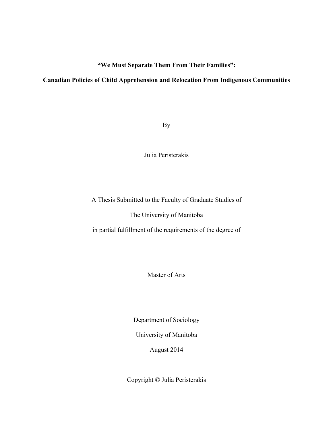**"We Must Separate Them From Their Families":** 

## **Canadian Policies of Child Apprehension and Relocation From Indigenous Communities**

By

Julia Peristerakis

A Thesis Submitted to the Faculty of Graduate Studies of

The University of Manitoba

in partial fulfillment of the requirements of the degree of

Master of Arts

Department of Sociology

University of Manitoba

August 2014

Copyright © Julia Peristerakis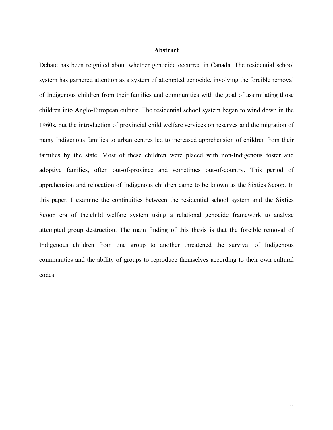#### **Abstract**

Debate has been reignited about whether genocide occurred in Canada. The residential school system has garnered attention as a system of attempted genocide, involving the forcible removal of Indigenous children from their families and communities with the goal of assimilating those children into Anglo-European culture. The residential school system began to wind down in the 1960s, but the introduction of provincial child welfare services on reserves and the migration of many Indigenous families to urban centres led to increased apprehension of children from their families by the state. Most of these children were placed with non-Indigenous foster and adoptive families, often out-of-province and sometimes out-of-country. This period of apprehension and relocation of Indigenous children came to be known as the Sixties Scoop. In this paper, I examine the continuities between the residential school system and the Sixties Scoop era of the child welfare system using a relational genocide framework to analyze attempted group destruction. The main finding of this thesis is that the forcible removal of Indigenous children from one group to another threatened the survival of Indigenous communities and the ability of groups to reproduce themselves according to their own cultural codes.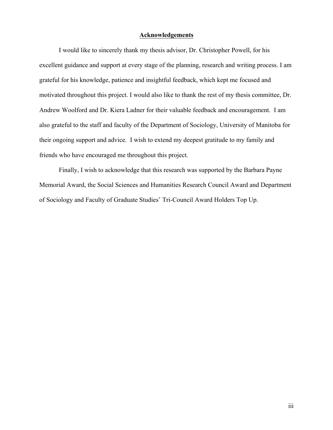#### **Acknowledgements**

I would like to sincerely thank my thesis advisor, Dr. Christopher Powell, for his excellent guidance and support at every stage of the planning, research and writing process. I am grateful for his knowledge, patience and insightful feedback, which kept me focused and motivated throughout this project. I would also like to thank the rest of my thesis committee, Dr. Andrew Woolford and Dr. Kiera Ladner for their valuable feedback and encouragement. I am also grateful to the staff and faculty of the Department of Sociology, University of Manitoba for their ongoing support and advice. I wish to extend my deepest gratitude to my family and friends who have encouraged me throughout this project.

Finally, I wish to acknowledge that this research was supported by the Barbara Payne Memorial Award, the Social Sciences and Humanities Research Council Award and Department of Sociology and Faculty of Graduate Studies' Tri-Council Award Holders Top Up.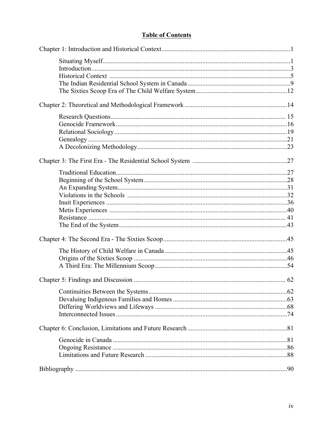# **Table of Contents**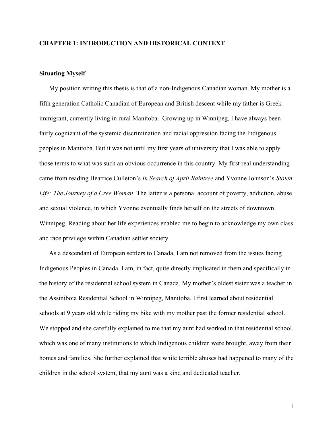## **CHAPTER 1: INTRODUCTION AND HISTORICAL CONTEXT**

## **Situating Myself**

My position writing this thesis is that of a non-Indigenous Canadian woman. My mother is a fifth generation Catholic Canadian of European and British descent while my father is Greek immigrant, currently living in rural Manitoba. Growing up in Winnipeg, I have always been fairly cognizant of the systemic discrimination and racial oppression facing the Indigenous peoples in Manitoba. But it was not until my first years of university that I was able to apply those terms to what was such an obvious occurrence in this country. My first real understanding came from reading Beatrice Culleton's *In Search of April Raintree* and Yvonne Johnson's *Stolen Life: The Journey of a Cree Woman*. The latter is a personal account of poverty, addiction, abuse and sexual violence, in which Yvonne eventually finds herself on the streets of downtown Winnipeg. Reading about her life experiences enabled me to begin to acknowledge my own class and race privilege within Canadian settler society.

As a descendant of European settlers to Canada, I am not removed from the issues facing Indigenous Peoples in Canada. I am, in fact, quite directly implicated in them and specifically in the history of the residential school system in Canada. My mother's oldest sister was a teacher in the Assiniboia Residential School in Winnipeg, Manitoba. I first learned about residential schools at 9 years old while riding my bike with my mother past the former residential school. We stopped and she carefully explained to me that my aunt had worked in that residential school, which was one of many institutions to which Indigenous children were brought, away from their homes and families. She further explained that while terrible abuses had happened to many of the children in the school system, that my aunt was a kind and dedicated teacher.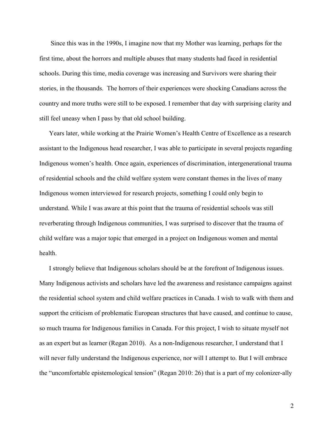Since this was in the 1990s, I imagine now that my Mother was learning, perhaps for the first time, about the horrors and multiple abuses that many students had faced in residential schools. During this time, media coverage was increasing and Survivors were sharing their stories, in the thousands. The horrors of their experiences were shocking Canadians across the country and more truths were still to be exposed. I remember that day with surprising clarity and still feel uneasy when I pass by that old school building.

Years later, while working at the Prairie Women's Health Centre of Excellence as a research assistant to the Indigenous head researcher, I was able to participate in several projects regarding Indigenous women's health. Once again, experiences of discrimination, intergenerational trauma of residential schools and the child welfare system were constant themes in the lives of many Indigenous women interviewed for research projects, something I could only begin to understand. While I was aware at this point that the trauma of residential schools was still reverberating through Indigenous communities, I was surprised to discover that the trauma of child welfare was a major topic that emerged in a project on Indigenous women and mental health.

I strongly believe that Indigenous scholars should be at the forefront of Indigenous issues. Many Indigenous activists and scholars have led the awareness and resistance campaigns against the residential school system and child welfare practices in Canada. I wish to walk with them and support the criticism of problematic European structures that have caused, and continue to cause, so much trauma for Indigenous families in Canada. For this project, I wish to situate myself not as an expert but as learner (Regan 2010). As a non-Indigenous researcher, I understand that I will never fully understand the Indigenous experience, nor will I attempt to. But I will embrace the "uncomfortable epistemological tension" (Regan 2010: 26) that is a part of my colonizer-ally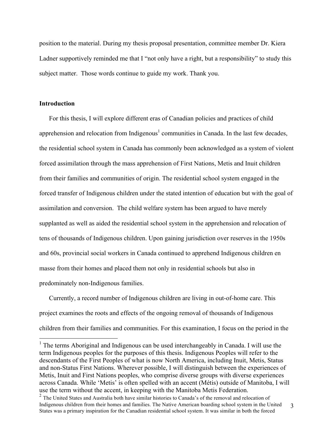position to the material. During my thesis proposal presentation, committee member Dr. Kiera Ladner supportively reminded me that I "not only have a right, but a responsibility" to study this subject matter. Those words continue to guide my work. Thank you.

## **Introduction**

For this thesis, I will explore different eras of Canadian policies and practices of child apprehension and relocation from Indigenous<sup>1</sup> communities in Canada. In the last few decades, the residential school system in Canada has commonly been acknowledged as a system of violent forced assimilation through the mass apprehension of First Nations, Metis and Inuit children from their families and communities of origin. The residential school system engaged in the forced transfer of Indigenous children under the stated intention of education but with the goal of assimilation and conversion. The child welfare system has been argued to have merely supplanted as well as aided the residential school system in the apprehension and relocation of tens of thousands of Indigenous children. Upon gaining jurisdiction over reserves in the 1950s and 60s, provincial social workers in Canada continued to apprehend Indigenous children en masse from their homes and placed them not only in residential schools but also in predominately non-Indigenous families.

Currently, a record number of Indigenous children are living in out-of-home care. This project examines the roots and effects of the ongoing removal of thousands of Indigenous children from their families and communities. For this examination, I focus on the period in the

 $<sup>1</sup>$  The terms Aboriginal and Indigenous can be used interchangeably in Canada. I will use the</sup> term Indigenous peoples for the purposes of this thesis. Indigenous Peoples will refer to the descendants of the First Peoples of what is now North America, including Inuit, Metis, Status and non-Status First Nations. Wherever possible, I will distinguish between the experiences of Metis, Inuit and First Nations peoples, who comprise diverse groups with diverse experiences across Canada. While 'Metis' is often spelled with an accent (Métis) outside of Manitoba, I will use the term without the accent, in keeping with the Manitoba Metis Federation.

<sup>3</sup> <sup>2</sup> The United States and Australia both have similar histories to Canada's of the removal and relocation of Indigenous children from their homes and families. The Native American boarding school system in the United States was a primary inspiration for the Canadian residential school system. It was similar in both the forced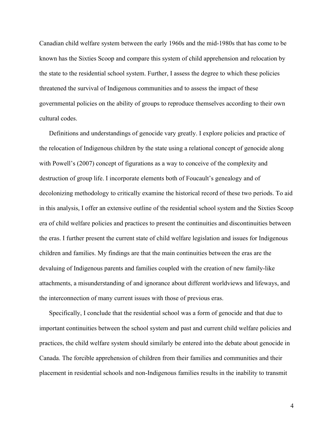Canadian child welfare system between the early 1960s and the mid-1980s that has come to be known has the Sixties Scoop and compare this system of child apprehension and relocation by the state to the residential school system. Further, I assess the degree to which these policies threatened the survival of Indigenous communities and to assess the impact of these governmental policies on the ability of groups to reproduce themselves according to their own cultural codes.

Definitions and understandings of genocide vary greatly. I explore policies and practice of the relocation of Indigenous children by the state using a relational concept of genocide along with Powell's (2007) concept of figurations as a way to conceive of the complexity and destruction of group life. I incorporate elements both of Foucault's genealogy and of decolonizing methodology to critically examine the historical record of these two periods. To aid in this analysis, I offer an extensive outline of the residential school system and the Sixties Scoop era of child welfare policies and practices to present the continuities and discontinuities between the eras. I further present the current state of child welfare legislation and issues for Indigenous children and families. My findings are that the main continuities between the eras are the devaluing of Indigenous parents and families coupled with the creation of new family-like attachments, a misunderstanding of and ignorance about different worldviews and lifeways, and the interconnection of many current issues with those of previous eras.

Specifically, I conclude that the residential school was a form of genocide and that due to important continuities between the school system and past and current child welfare policies and practices, the child welfare system should similarly be entered into the debate about genocide in Canada. The forcible apprehension of children from their families and communities and their placement in residential schools and non-Indigenous families results in the inability to transmit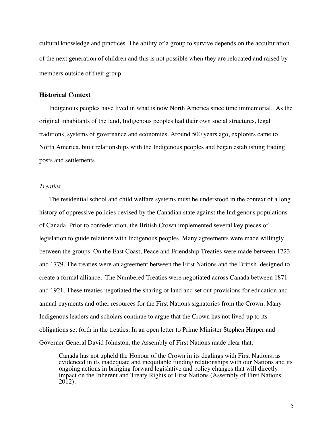cultural knowledge and practices. The ability of a group to survive depends on the acculturation of the next generation of children and this is not possible when they are relocated and raised by members outside of their group.

## **Historical Context**

Indigenous peoples have lived in what is now North America since time immemorial. As the original inhabitants of the land, Indigenous peoples had their own social structures, legal traditions, systems of governance and economies. Around 500 years ago, explorers came to North America, built relationships with the Indigenous peoples and began establishing trading posts and settlements.

## *Treaties*

The residential school and child welfare systems must be understood in the context of a long history of oppressive policies devised by the Canadian state against the Indigenous populations of Canada. Prior to confederation, the British Crown implemented several key pieces of legislation to guide relations with Indigenous peoples. Many agreements were made willingly between the groups. On the East Coast, Peace and Friendship Treaties were made between 1723 and 1779. The treaties were an agreement between the First Nations and the British, designed to create a formal alliance. The Numbered Treaties were negotiated across Canada between 1871 and 1921. These treaties negotiated the sharing of land and set out provisions for education and annual payments and other resources for the First Nations signatories from the Crown. Many Indigenous leaders and scholars continue to argue that the Crown has not lived up to its obligations set forth in the treaties. In an open letter to Prime Minister Stephen Harper and Governer General David Johnston, the Assembly of First Nations made clear that,

Canada has not upheld the Honour of the Crown in its dealings with First Nations, as evidenced in its inadequate and inequitable funding relationships with our Nations and its ongoing actions in bringing forward legislative and policy changes that will directly impact on the Inherent and Treaty Rights of First Nations (Assembly of First Nations 2012).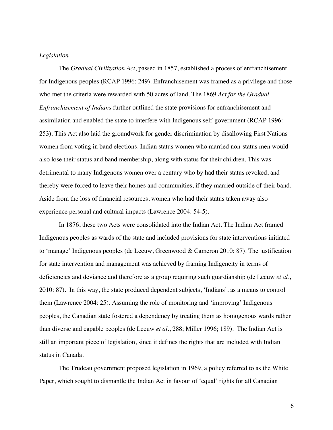## *Legislation*

The *Gradual Civilization Act*, passed in 1857, established a process of enfranchisement for Indigenous peoples (RCAP 1996: 249). Enfranchisement was framed as a privilege and those who met the criteria were rewarded with 50 acres of land. The 1869 *Act for the Gradual Enfranchisement of Indians* further outlined the state provisions for enfranchisement and assimilation and enabled the state to interfere with Indigenous self-government (RCAP 1996: 253). This Act also laid the groundwork for gender discrimination by disallowing First Nations women from voting in band elections. Indian status women who married non-status men would also lose their status and band membership, along with status for their children. This was detrimental to many Indigenous women over a century who by had their status revoked, and thereby were forced to leave their homes and communities, if they married outside of their band. Aside from the loss of financial resources, women who had their status taken away also experience personal and cultural impacts (Lawrence 2004: 54-5).

In 1876, these two Acts were consolidated into the Indian Act. The Indian Act framed Indigenous peoples as wards of the state and included provisions for state interventions initiated to 'manage' Indigenous peoples (de Leeuw, Greenwood & Cameron 2010: 87). The justification for state intervention and management was achieved by framing Indigeneity in terms of deficiencies and deviance and therefore as a group requiring such guardianship (de Leeuw *et al*., 2010: 87). In this way, the state produced dependent subjects, 'Indians', as a means to control them (Lawrence 2004: 25). Assuming the role of monitoring and 'improving' Indigenous peoples, the Canadian state fostered a dependency by treating them as homogenous wards rather than diverse and capable peoples (de Leeuw *et al*., 288; Miller 1996; 189). The Indian Act is still an important piece of legislation, since it defines the rights that are included with Indian status in Canada.

The Trudeau government proposed legislation in 1969, a policy referred to as the White Paper, which sought to dismantle the Indian Act in favour of 'equal' rights for all Canadian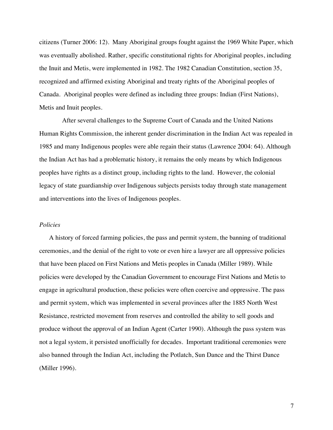citizens (Turner 2006: 12). Many Aboriginal groups fought against the 1969 White Paper, which was eventually abolished. Rather, specific constitutional rights for Aboriginal peoples, including the Inuit and Metis, were implemented in 1982. The 1982 Canadian Constitution, section 35, recognized and affirmed existing Aboriginal and treaty rights of the Aboriginal peoples of Canada. Aboriginal peoples were defined as including three groups: Indian (First Nations), Metis and Inuit peoples.

 After several challenges to the Supreme Court of Canada and the United Nations Human Rights Commission, the inherent gender discrimination in the Indian Act was repealed in 1985 and many Indigenous peoples were able regain their status (Lawrence 2004: 64). Although the Indian Act has had a problematic history, it remains the only means by which Indigenous peoples have rights as a distinct group, including rights to the land. However, the colonial legacy of state guardianship over Indigenous subjects persists today through state management and interventions into the lives of Indigenous peoples.

#### *Policies*

A history of forced farming policies, the pass and permit system, the banning of traditional ceremonies, and the denial of the right to vote or even hire a lawyer are all oppressive policies that have been placed on First Nations and Metis peoples in Canada (Miller 1989). While policies were developed by the Canadian Government to encourage First Nations and Metis to engage in agricultural production, these policies were often coercive and oppressive. The pass and permit system, which was implemented in several provinces after the 1885 North West Resistance, restricted movement from reserves and controlled the ability to sell goods and produce without the approval of an Indian Agent (Carter 1990). Although the pass system was not a legal system, it persisted unofficially for decades. Important traditional ceremonies were also banned through the Indian Act, including the Potlatch, Sun Dance and the Thirst Dance (Miller 1996).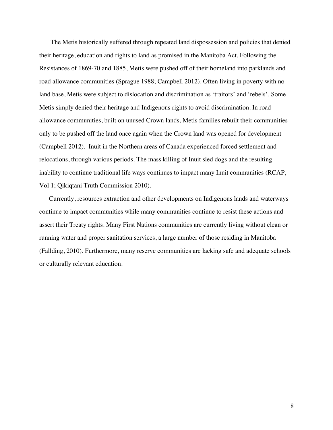The Metis historically suffered through repeated land dispossession and policies that denied their heritage, education and rights to land as promised in the Manitoba Act. Following the Resistances of 1869-70 and 1885, Metis were pushed off of their homeland into parklands and road allowance communities (Sprague 1988; Campbell 2012). Often living in poverty with no land base, Metis were subject to dislocation and discrimination as 'traitors' and 'rebels'. Some Metis simply denied their heritage and Indigenous rights to avoid discrimination. In road allowance communities, built on unused Crown lands, Metis families rebuilt their communities only to be pushed off the land once again when the Crown land was opened for development (Campbell 2012). Inuit in the Northern areas of Canada experienced forced settlement and relocations, through various periods. The mass killing of Inuit sled dogs and the resulting inability to continue traditional life ways continues to impact many Inuit communities (RCAP, Vol 1; Qikiqtani Truth Commission 2010).

Currently, resources extraction and other developments on Indigenous lands and waterways continue to impact communities while many communities continue to resist these actions and assert their Treaty rights. Many First Nations communities are currently living without clean or running water and proper sanitation services, a large number of those residing in Manitoba (Fallding, 2010). Furthermore, many reserve communities are lacking safe and adequate schools or culturally relevant education.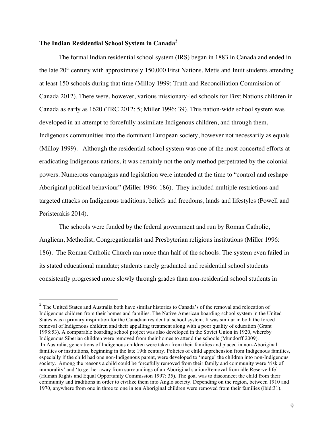## **The Indian Residential School System in Canada<sup>2</sup>**

The formal Indian residential school system (IRS) began in 1883 in Canada and ended in the late  $20<sup>th</sup>$  century with approximately 150,000 First Nations, Metis and Inuit students attending at least 150 schools during that time (Milloy 1999; Truth and Reconciliation Commission of Canada 2012). There were, however, various missionary-led schools for First Nations children in Canada as early as 1620 (TRC 2012: 5; Miller 1996: 39). This nation-wide school system was developed in an attempt to forcefully assimilate Indigenous children, and through them, Indigenous communities into the dominant European society, however not necessarily as equals (Milloy 1999). Although the residential school system was one of the most concerted efforts at eradicating Indigenous nations, it was certainly not the only method perpetrated by the colonial powers. Numerous campaigns and legislation were intended at the time to "control and reshape Aboriginal political behaviour" (Miller 1996: 186). They included multiple restrictions and targeted attacks on Indigenous traditions, beliefs and freedoms, lands and lifestyles (Powell and Peristerakis 2014).

The schools were funded by the federal government and run by Roman Catholic, Anglican, Methodist, Congregationalist and Presbyterian religious institutions (Miller 1996: 186). The Roman Catholic Church ran more than half of the schools. The system even failed in its stated educational mandate; students rarely graduated and residential school students consistently progressed more slowly through grades than non-residential school students in

<sup>&</sup>lt;sup>2</sup> The United States and Australia both have similar histories to Canada's of the removal and relocation of Indigenous children from their homes and families. The Native American boarding school system in the United States was a primary inspiration for the Canadian residential school system. It was similar in both the forced removal of Indigenous children and their appalling treatment along with a poor quality of education (Grant 1998:53). A comparable boarding school project was also developed in the Soviet Union in 1920, whereby Indigenous Siberian children were removed from their homes to attend the schools (Mundorff 2009). In Australia, generations of Indigenous children were taken from their families and placed in non-Aboriginal families or institutions, beginning in the late 19th century. Policies of child apprehension from Indigenous families, especially if the child had one non-Indigenous parent, were developed to 'merge' the children into non-Indigenous society. Among the reasons a child could be forcefully removed from their family and community were 'risk of immorality' and 'to get her away from surroundings of an Aboriginal station/Removal from idle Reserve life' (Human Rights and Equal Opportunity Commission 1997: 35). The goal was to disconnect the child from their community and traditions in order to civilize them into Anglo society. Depending on the region, between 1910 and 1970, anywhere from one in three to one in ten Aboriginal children were removed from their families (ibid:31).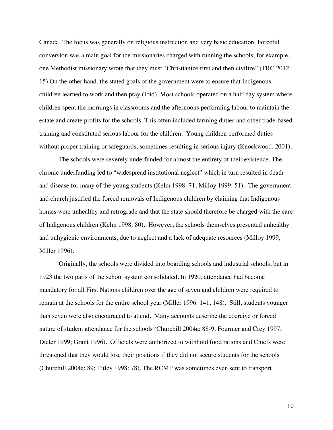Canada. The focus was generally on religious instruction and very basic education. Forceful conversion was a main goal for the missionaries charged with running the schools; for example, one Methodist missionary wrote that they must "Christianize first and then civilize" (TRC 2012: 15) On the other hand, the stated goals of the government were to ensure that Indigenous children learned to work and then pray (Ibid). Most schools operated on a half-day system where children spent the mornings in classrooms and the afternoons performing labour to maintain the estate and create profits for the schools. This often included farming duties and other trade-based training and constituted serious labour for the children. Young children performed duties without proper training or safeguards, sometimes resulting in serious injury (Knockwood, 2001).

The schools were severely underfunded for almost the entirety of their existence. The chronic underfunding led to "widespread institutional neglect" which in turn resulted in death and disease for many of the young students (Kelm 1998: 71; Milloy 1999: 51). The government and church justified the forced removals of Indigenous children by claiming that Indigenous homes were unhealthy and retrograde and that the state should therefore be charged with the care of Indigenous children (Kelm 1998: 80). However, the schools themselves presented unhealthy and unhygienic environments, due to neglect and a lack of adequate resources (Milloy 1999; Miller 1996).

Originally, the schools were divided into boarding schools and industrial schools, but in 1923 the two parts of the school system consolidated. In 1920, attendance had become mandatory for all First Nations children over the age of seven and children were required to remain at the schools for the entire school year (Miller 1996: 141, 148). Still, students younger than seven were also encouraged to attend. Many accounts describe the coercive or forced nature of student attendance for the schools (Churchill 2004a: 88-9; Fournier and Crey 1997; Dieter 1999; Grant 1996). Officials were authorized to withhold food rations and Chiefs were threatened that they would lose their positions if they did not secure students for the schools (Churchill 2004a: 89; Titley 1998: 78). The RCMP was sometimes even sent to transport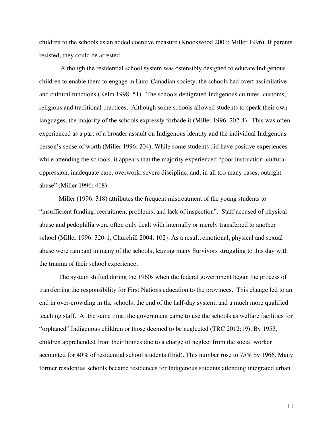children to the schools as an added coercive measure **(**Knockwood 2001; Miller 1996**)**. If parents resisted, they could be arrested.

Although the residential school system was ostensibly designed to educate Indigenous children to enable them to engage in Euro-Canadian society, the schools had overt assimilative and cultural functions (Kelm 1998: 51). The schools denigrated Indigenous cultures, customs, religions and traditional practices. Although some schools allowed students to speak their own languages, the majority of the schools expressly forbade it (Miller 1996: 202-4). This was often experienced as a part of a broader assault on Indigenous identity and the individual Indigenous person's sense of worth (Miller 1996: 204). While some students did have positive experiences while attending the schools, it appears that the majority experienced "poor instruction, cultural oppression, inadequate care, overwork, severe discipline, and, in all too many cases, outright abuse" (Miller 1996: 418).

Miller (1996: 318) attributes the frequent mistreatment of the young students to "insufficient funding, recruitment problems, and lack of inspection". Staff accused of physical abuse and pedophilia were often only dealt with internally or merely transferred to another school (Miller 1996: 320-1; Churchill 2004: 102). As a result, emotional, physical and sexual abuse were rampant in many of the schools, leaving many Survivors struggling to this day with the trauma of their school experience.

The system shifted during the 1960s when the federal government began the process of transferring the responsibility for First Nations education to the provinces. This change led to an end in over-crowding in the schools, the end of the half-day system, and a much more qualified teaching staff. At the same time, the government came to use the schools as welfare facilities for "orphaned" Indigenous children or those deemed to be neglected (TRC 2012:19). By 1953, children apprehended from their homes due to a charge of neglect from the social worker accounted for 40% of residential school students (Ibid). This number rose to 75% by 1966. Many former residential schools became residences for Indigenous students attending integrated urban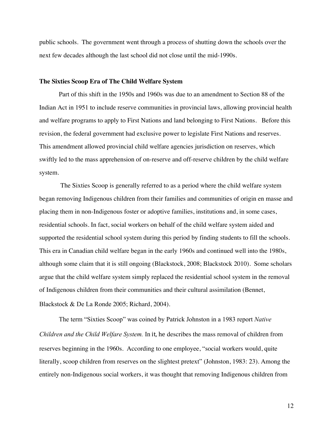public schools. The government went through a process of shutting down the schools over the next few decades although the last school did not close until the mid-1990s.

#### **The Sixties Scoop Era of The Child Welfare System**

Part of this shift in the 1950s and 1960s was due to an amendment to Section 88 of the Indian Act in 1951 to include reserve communities in provincial laws, allowing provincial health and welfare programs to apply to First Nations and land belonging to First Nations. Before this revision, the federal government had exclusive power to legislate First Nations and reserves. This amendment allowed provincial child welfare agencies jurisdiction on reserves, which swiftly led to the mass apprehension of on-reserve and off-reserve children by the child welfare system.

The Sixties Scoop is generally referred to as a period where the child welfare system began removing Indigenous children from their families and communities of origin en masse and placing them in non-Indigenous foster or adoptive families, institutions and, in some cases, residential schools. In fact, social workers on behalf of the child welfare system aided and supported the residential school system during this period by finding students to fill the schools. This era in Canadian child welfare began in the early 1960s and continued well into the 1980s, although some claim that it is still ongoing (Blackstock, 2008; Blackstock 2010). Some scholars argue that the child welfare system simply replaced the residential school system in the removal of Indigenous children from their communities and their cultural assimilation (Bennet, Blackstock & De La Ronde 2005; Richard, 2004).

The term "Sixties Scoop" was coined by Patrick Johnston in a 1983 report *Native Children and the Child Welfare System.* In it, he describes the mass removal of children from reserves beginning in the 1960s. According to one employee, "social workers would, quite literally, scoop children from reserves on the slightest pretext" (Johnston, 1983: 23). Among the entirely non-Indigenous social workers, it was thought that removing Indigenous children from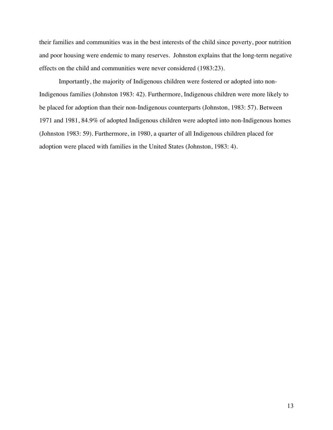their families and communities was in the best interests of the child since poverty, poor nutrition and poor housing were endemic to many reserves. Johnston explains that the long-term negative effects on the child and communities were never considered (1983:23).

Importantly, the majority of Indigenous children were fostered or adopted into non-Indigenous families (Johnston 1983: 42). Furthermore, Indigenous children were more likely to be placed for adoption than their non-Indigenous counterparts (Johnston, 1983: 57). Between 1971 and 1981, 84.9% of adopted Indigenous children were adopted into non-Indigenous homes (Johnston 1983: 59). Furthermore, in 1980, a quarter of all Indigenous children placed for adoption were placed with families in the United States (Johnston, 1983: 4).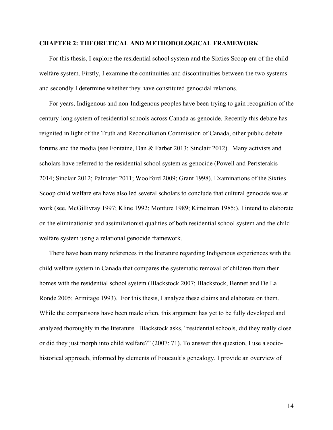#### **CHAPTER 2: THEORETICAL AND METHODOLOGICAL FRAMEWORK**

For this thesis, I explore the residential school system and the Sixties Scoop era of the child welfare system. Firstly, I examine the continuities and discontinuities between the two systems and secondly I determine whether they have constituted genocidal relations.

For years, Indigenous and non-Indigenous peoples have been trying to gain recognition of the century-long system of residential schools across Canada as genocide. Recently this debate has reignited in light of the Truth and Reconciliation Commission of Canada, other public debate forums and the media (see Fontaine, Dan & Farber 2013; Sinclair 2012). Many activists and scholars have referred to the residential school system as genocide (Powell and Peristerakis 2014; Sinclair 2012; Palmater 2011; Woolford 2009; Grant 1998). Examinations of the Sixties Scoop child welfare era have also led several scholars to conclude that cultural genocide was at work (see, McGillivray 1997; Kline 1992; Monture 1989; Kimelman 1985;). I intend to elaborate on the eliminationist and assimilationist qualities of both residential school system and the child welfare system using a relational genocide framework.

There have been many references in the literature regarding Indigenous experiences with the child welfare system in Canada that compares the systematic removal of children from their homes with the residential school system (Blackstock 2007; Blackstock, Bennet and De La Ronde 2005; Armitage 1993). For this thesis, I analyze these claims and elaborate on them. While the comparisons have been made often, this argument has yet to be fully developed and analyzed thoroughly in the literature. Blackstock asks, "residential schools, did they really close or did they just morph into child welfare?" (2007: 71). To answer this question, I use a sociohistorical approach, informed by elements of Foucault's genealogy. I provide an overview of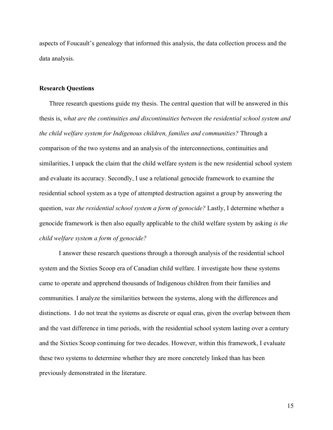aspects of Foucault's genealogy that informed this analysis, the data collection process and the data analysis.

## **Research Questions**

Three research questions guide my thesis. The central question that will be answered in this thesis is, *what are the continuities and discontinuities between the residential school system and the child welfare system for Indigenous children, families and communities?* Through a comparison of the two systems and an analysis of the interconnections, continuities and similarities, I unpack the claim that the child welfare system is the new residential school system and evaluate its accuracy. Secondly, I use a relational genocide framework to examine the residential school system as a type of attempted destruction against a group by answering the question, *was the residential school system a form of genocide?* Lastly, I determine whether a genocide framework is then also equally applicable to the child welfare system by asking *is the child welfare system a form of genocide?* 

I answer these research questions through a thorough analysis of the residential school system and the Sixties Scoop era of Canadian child welfare. I investigate how these systems came to operate and apprehend thousands of Indigenous children from their families and communities. I analyze the similarities between the systems, along with the differences and distinctions. I do not treat the systems as discrete or equal eras, given the overlap between them and the vast difference in time periods, with the residential school system lasting over a century and the Sixties Scoop continuing for two decades. However, within this framework, I evaluate these two systems to determine whether they are more concretely linked than has been previously demonstrated in the literature.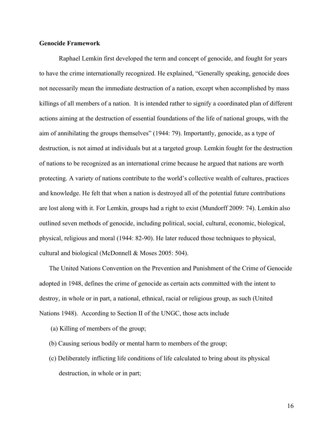## **Genocide Framework**

Raphael Lemkin first developed the term and concept of genocide, and fought for years to have the crime internationally recognized. He explained, "Generally speaking, genocide does not necessarily mean the immediate destruction of a nation, except when accomplished by mass killings of all members of a nation. It is intended rather to signify a coordinated plan of different actions aiming at the destruction of essential foundations of the life of national groups, with the aim of annihilating the groups themselves" (1944: 79). Importantly, genocide, as a type of destruction, is not aimed at individuals but at a targeted group. Lemkin fought for the destruction of nations to be recognized as an international crime because he argued that nations are worth protecting. A variety of nations contribute to the world's collective wealth of cultures, practices and knowledge. He felt that when a nation is destroyed all of the potential future contributions are lost along with it. For Lemkin, groups had a right to exist (Mundorff 2009: 74). Lemkin also outlined seven methods of genocide, including political, social, cultural, economic, biological, physical, religious and moral (1944: 82-90). He later reduced those techniques to physical, cultural and biological (McDonnell & Moses 2005: 504).

The United Nations Convention on the Prevention and Punishment of the Crime of Genocide adopted in 1948, defines the crime of genocide as certain acts committed with the intent to destroy, in whole or in part, a national, ethnical, racial or religious group, as such (United Nations 1948). According to Section II of the UNGC, those acts include

- (a) Killing of members of the group;
- (b) Causing serious bodily or mental harm to members of the group;
- (c) Deliberately inflicting life conditions of life calculated to bring about its physical destruction, in whole or in part;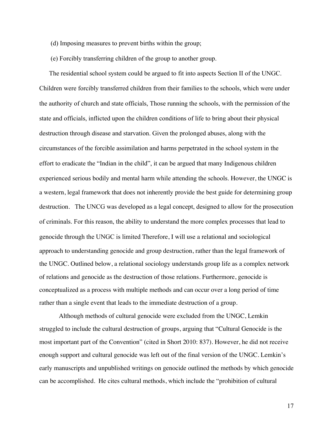- (d) Imposing measures to prevent births within the group;
- (e) Forcibly transferring children of the group to another group.

The residential school system could be argued to fit into aspects Section II of the UNGC. Children were forcibly transferred children from their families to the schools, which were under the authority of church and state officials, Those running the schools, with the permission of the state and officials, inflicted upon the children conditions of life to bring about their physical destruction through disease and starvation. Given the prolonged abuses, along with the circumstances of the forcible assimilation and harms perpetrated in the school system in the effort to eradicate the "Indian in the child", it can be argued that many Indigenous children experienced serious bodily and mental harm while attending the schools. However, the UNGC is a western, legal framework that does not inherently provide the best guide for determining group destruction. The UNCG was developed as a legal concept, designed to allow for the prosecution of criminals. For this reason, the ability to understand the more complex processes that lead to genocide through the UNGC is limited Therefore, I will use a relational and sociological approach to understanding genocide and group destruction, rather than the legal framework of the UNGC. Outlined below, a relational sociology understands group life as a complex network of relations and genocide as the destruction of those relations. Furthermore, genocide is conceptualized as a process with multiple methods and can occur over a long period of time rather than a single event that leads to the immediate destruction of a group.

Although methods of cultural genocide were excluded from the UNGC, Lemkin struggled to include the cultural destruction of groups, arguing that "Cultural Genocide is the most important part of the Convention" (cited in Short 2010: 837). However, he did not receive enough support and cultural genocide was left out of the final version of the UNGC. Lemkin's early manuscripts and unpublished writings on genocide outlined the methods by which genocide can be accomplished. He cites cultural methods, which include the "prohibition of cultural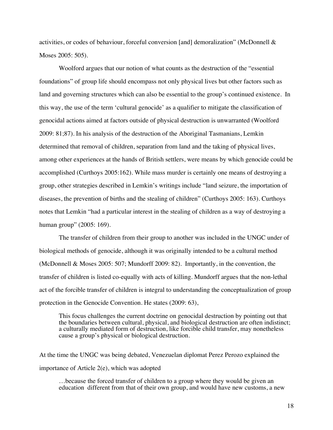activities, or codes of behaviour, forceful conversion [and] demoralization" (McDonnell & Moses 2005: 505).

Woolford argues that our notion of what counts as the destruction of the "essential foundations" of group life should encompass not only physical lives but other factors such as land and governing structures which can also be essential to the group's continued existence. In this way, the use of the term 'cultural genocide' as a qualifier to mitigate the classification of genocidal actions aimed at factors outside of physical destruction is unwarranted (Woolford 2009: 81;87). In his analysis of the destruction of the Aboriginal Tasmanians, Lemkin determined that removal of children, separation from land and the taking of physical lives, among other experiences at the hands of British settlers, were means by which genocide could be accomplished (Curthoys 2005:162). While mass murder is certainly one means of destroying a group, other strategies described in Lemkin's writings include "land seizure, the importation of diseases, the prevention of births and the stealing of children" (Curthoys 2005: 163). Curthoys notes that Lemkin "had a particular interest in the stealing of children as a way of destroying a human group" (2005: 169).

The transfer of children from their group to another was included in the UNGC under of biological methods of genocide, although it was originally intended to be a cultural method (McDonnell & Moses 2005: 507; Mundorff 2009: 82). Importantly, in the convention, the transfer of children is listed co-equally with acts of killing. Mundorff argues that the non-lethal act of the forcible transfer of children is integral to understanding the conceptualization of group protection in the Genocide Convention. He states (2009: 63),

This focus challenges the current doctrine on genocidal destruction by pointing out that the boundaries between cultural, physical, and biological destruction are often indistinct; a culturally mediated form of destruction, like forcible child transfer, may nonetheless cause a group's physical or biological destruction.

At the time the UNGC was being debated, Venezuelan diplomat Perez Perozo explained the importance of Article 2(e), which was adopted

…because the forced transfer of children to a group where they would be given an education different from that of their own group, and would have new customs, a new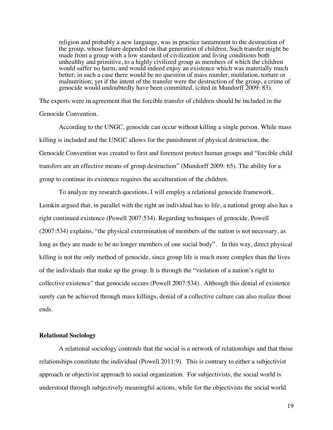religion and probably a new language, was in practice tantamount to the destruction of the group, whose future depended on that generation of children. Such transfer might be made from a group with a low standard of civilization and living conditions both unhealthy and primitive, to a highly civilized group as members of which the children would suffer no harm, and would indeed enjoy an existence which was materially much better; in such a case there would be no question of mass murder, mutilation, torture or malnutrition; yet if the intent of the transfer were the destruction of the group, a crime of genocide would undoubtedly have been committed. (cited in Mundorff 2009: 83).

The experts were in agreement that the forcible transfer of children should be included in the Genocide Convention.

According to the UNGC, genocide can occur without killing a single person. While mass killing is included and the UNGC allows for the punishment of physical destruction, the Genocide Convention was created to first and foremost protect human groups and "forcible child transfers are an effective means of group destruction" (Mundorff 2009: 65). The ability for a group to continue its existence requires the acculturation of the children.

To analyze my research questions, I will employ a relational genocide framework. Lemkin argued that, in parallel with the right an individual has to life, a national group also has a right continued existence (Powell 2007:534). Regarding techniques of genocide, Powell (2007:534) explains, "the physical extermination of members of the nation is not necessary, as long as they are made to be no longer members of one social body". In this way, direct physical killing is not the only method of genocide, since group life is much more complex than the lives of the individuals that make up the group. It is through the "violation of a nation's right to collective existence" that genocide occurs (Powell 2007:534). Although this denial of existence surely can be achieved through mass killings, denial of a collective culture can also realize those ends.

#### **Relational Sociology**

A relational sociology contends that the social is a network of relationships and that those relationships constitute the individual (Powell 2011:9). This is contrary to either a subjectivist approach or objectivist approach to social organization. For subjectivists, the social world is understood through subjectively meaningful actions, while for the objectivists the social world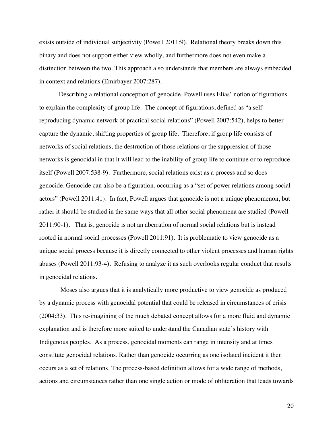exists outside of individual subjectivity (Powell 2011:9). Relational theory breaks down this binary and does not support either view wholly, and furthermore does not even make a distinction between the two. This approach also understands that members are always embedded in context and relations (Emirbayer 2007:287).

Describing a relational conception of genocide, Powell uses Elias' notion of figurations to explain the complexity of group life. The concept of figurations, defined as "a selfreproducing dynamic network of practical social relations" (Powell 2007:542), helps to better capture the dynamic, shifting properties of group life. Therefore, if group life consists of networks of social relations, the destruction of those relations or the suppression of those networks is genocidal in that it will lead to the inability of group life to continue or to reproduce itself (Powell 2007:538-9). Furthermore, social relations exist as a process and so does genocide. Genocide can also be a figuration, occurring as a "set of power relations among social actors" (Powell 2011:41). In fact, Powell argues that genocide is not a unique phenomenon, but rather it should be studied in the same ways that all other social phenomena are studied (Powell 2011:90-1). That is, genocide is not an aberration of normal social relations but is instead rooted in normal social processes (Powell 2011:91). It is problematic to view genocide as a unique social process because it is directly connected to other violent processes and human rights abuses (Powell 2011:93-4). Refusing to analyze it as such overlooks regular conduct that results in genocidal relations.

Moses also argues that it is analytically more productive to view genocide as produced by a dynamic process with genocidal potential that could be released in circumstances of crisis (2004:33). This re-imagining of the much debated concept allows for a more fluid and dynamic explanation and is therefore more suited to understand the Canadian state's history with Indigenous peoples. As a process, genocidal moments can range in intensity and at times constitute genocidal relations. Rather than genocide occurring as one isolated incident it then occurs as a set of relations. The process-based definition allows for a wide range of methods, actions and circumstances rather than one single action or mode of obliteration that leads towards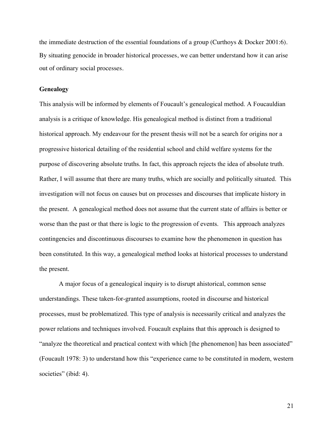the immediate destruction of the essential foundations of a group (Curthoys & Docker 2001:6). By situating genocide in broader historical processes, we can better understand how it can arise out of ordinary social processes.

## **Genealogy**

This analysis will be informed by elements of Foucault's genealogical method. A Foucauldian analysis is a critique of knowledge. His genealogical method is distinct from a traditional historical approach. My endeavour for the present thesis will not be a search for origins nor a progressive historical detailing of the residential school and child welfare systems for the purpose of discovering absolute truths. In fact, this approach rejects the idea of absolute truth. Rather, I will assume that there are many truths, which are socially and politically situated. This investigation will not focus on causes but on processes and discourses that implicate history in the present. A genealogical method does not assume that the current state of affairs is better or worse than the past or that there is logic to the progression of events. This approach analyzes contingencies and discontinuous discourses to examine how the phenomenon in question has been constituted. In this way, a genealogical method looks at historical processes to understand the present.

A major focus of a genealogical inquiry is to disrupt ahistorical, common sense understandings. These taken-for-granted assumptions, rooted in discourse and historical processes, must be problematized. This type of analysis is necessarily critical and analyzes the power relations and techniques involved. Foucault explains that this approach is designed to "analyze the theoretical and practical context with which [the phenomenon] has been associated" (Foucault 1978: 3) to understand how this "experience came to be constituted in modern, western societies" (ibid: 4).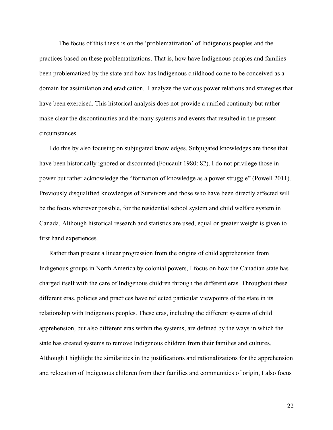The focus of this thesis is on the 'problematization' of Indigenous peoples and the practices based on these problematizations. That is, how have Indigenous peoples and families been problematized by the state and how has Indigenous childhood come to be conceived as a domain for assimilation and eradication. I analyze the various power relations and strategies that have been exercised. This historical analysis does not provide a unified continuity but rather make clear the discontinuities and the many systems and events that resulted in the present circumstances.

I do this by also focusing on subjugated knowledges. Subjugated knowledges are those that have been historically ignored or discounted (Foucault 1980: 82). I do not privilege those in power but rather acknowledge the "formation of knowledge as a power struggle" (Powell 2011). Previously disqualified knowledges of Survivors and those who have been directly affected will be the focus wherever possible, for the residential school system and child welfare system in Canada. Although historical research and statistics are used, equal or greater weight is given to first hand experiences.

Rather than present a linear progression from the origins of child apprehension from Indigenous groups in North America by colonial powers, I focus on how the Canadian state has charged itself with the care of Indigenous children through the different eras. Throughout these different eras, policies and practices have reflected particular viewpoints of the state in its relationship with Indigenous peoples. These eras, including the different systems of child apprehension, but also different eras within the systems, are defined by the ways in which the state has created systems to remove Indigenous children from their families and cultures. Although I highlight the similarities in the justifications and rationalizations for the apprehension and relocation of Indigenous children from their families and communities of origin, I also focus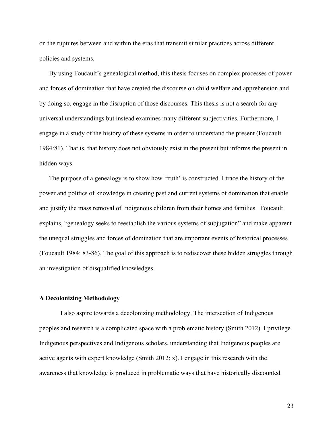on the ruptures between and within the eras that transmit similar practices across different policies and systems.

By using Foucault's genealogical method, this thesis focuses on complex processes of power and forces of domination that have created the discourse on child welfare and apprehension and by doing so, engage in the disruption of those discourses. This thesis is not a search for any universal understandings but instead examines many different subjectivities. Furthermore, I engage in a study of the history of these systems in order to understand the present (Foucault 1984:81). That is, that history does not obviously exist in the present but informs the present in hidden ways.

The purpose of a genealogy is to show how 'truth' is constructed. I trace the history of the power and politics of knowledge in creating past and current systems of domination that enable and justify the mass removal of Indigenous children from their homes and families. Foucault explains, "genealogy seeks to reestablish the various systems of subjugation" and make apparent the unequal struggles and forces of domination that are important events of historical processes (Foucault 1984: 83-86). The goal of this approach is to rediscover these hidden struggles through an investigation of disqualified knowledges.

## **A Decolonizing Methodology**

I also aspire towards a decolonizing methodology. The intersection of Indigenous peoples and research is a complicated space with a problematic history (Smith 2012). I privilege Indigenous perspectives and Indigenous scholars, understanding that Indigenous peoples are active agents with expert knowledge (Smith 2012: x). I engage in this research with the awareness that knowledge is produced in problematic ways that have historically discounted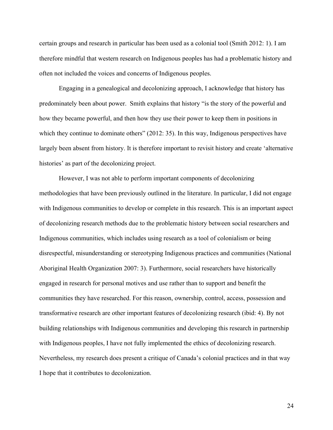certain groups and research in particular has been used as a colonial tool (Smith 2012: 1). I am therefore mindful that western research on Indigenous peoples has had a problematic history and often not included the voices and concerns of Indigenous peoples.

Engaging in a genealogical and decolonizing approach, I acknowledge that history has predominately been about power. Smith explains that history "is the story of the powerful and how they became powerful, and then how they use their power to keep them in positions in which they continue to dominate others" (2012: 35). In this way, Indigenous perspectives have largely been absent from history. It is therefore important to revisit history and create 'alternative histories' as part of the decolonizing project.

However, I was not able to perform important components of decolonizing methodologies that have been previously outlined in the literature. In particular, I did not engage with Indigenous communities to develop or complete in this research. This is an important aspect of decolonizing research methods due to the problematic history between social researchers and Indigenous communities, which includes using research as a tool of colonialism or being disrespectful, misunderstanding or stereotyping Indigenous practices and communities (National Aboriginal Health Organization 2007: 3). Furthermore, social researchers have historically engaged in research for personal motives and use rather than to support and benefit the communities they have researched. For this reason, ownership, control, access, possession and transformative research are other important features of decolonizing research (ibid: 4). By not building relationships with Indigenous communities and developing this research in partnership with Indigenous peoples, I have not fully implemented the ethics of decolonizing research. Nevertheless, my research does present a critique of Canada's colonial practices and in that way I hope that it contributes to decolonization.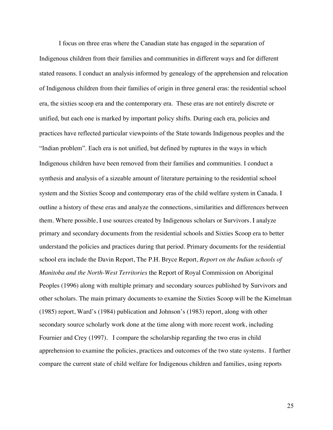I focus on three eras where the Canadian state has engaged in the separation of Indigenous children from their families and communities in different ways and for different stated reasons. I conduct an analysis informed by genealogy of the apprehension and relocation of Indigenous children from their families of origin in three general eras: the residential school era, the sixties scoop era and the contemporary era. These eras are not entirely discrete or unified, but each one is marked by important policy shifts. During each era, policies and practices have reflected particular viewpoints of the State towards Indigenous peoples and the "Indian problem". Each era is not unified, but defined by ruptures in the ways in which Indigenous children have been removed from their families and communities. I conduct a synthesis and analysis of a sizeable amount of literature pertaining to the residential school system and the Sixties Scoop and contemporary eras of the child welfare system in Canada. I outline a history of these eras and analyze the connections, similarities and differences between them. Where possible, I use sources created by Indigenous scholars or Survivors. I analyze primary and secondary documents from the residential schools and Sixties Scoop era to better understand the policies and practices during that period. Primary documents for the residential school era include the Davin Report, The P.H. Bryce Report, *Report on the Indian schools of Manitoba and the North-West Territories* the Report of Royal Commission on Aboriginal Peoples (1996) along with multiple primary and secondary sources published by Survivors and other scholars. The main primary documents to examine the Sixties Scoop will be the Kimelman (1985) report, Ward's (1984) publication and Johnson's (1983) report, along with other secondary source scholarly work done at the time along with more recent work, including Fournier and Crey (1997). I compare the scholarship regarding the two eras in child apprehension to examine the policies, practices and outcomes of the two state systems. I further compare the current state of child welfare for Indigenous children and families, using reports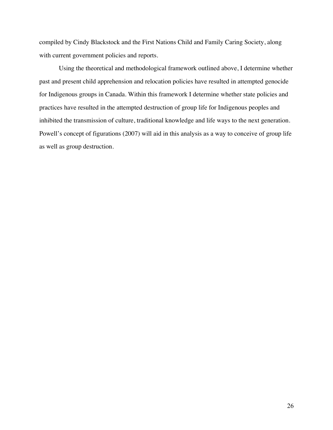compiled by Cindy Blackstock and the First Nations Child and Family Caring Society, along with current government policies and reports.

Using the theoretical and methodological framework outlined above, I determine whether past and present child apprehension and relocation policies have resulted in attempted genocide for Indigenous groups in Canada. Within this framework I determine whether state policies and practices have resulted in the attempted destruction of group life for Indigenous peoples and inhibited the transmission of culture, traditional knowledge and life ways to the next generation. Powell's concept of figurations (2007) will aid in this analysis as a way to conceive of group life as well as group destruction.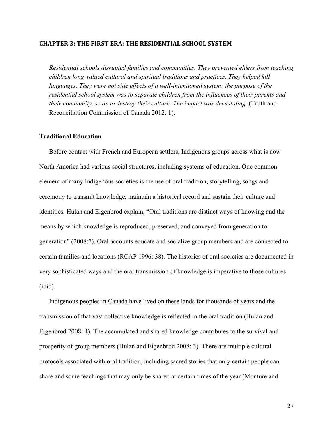#### **CHAPTER 3:(THE(FIRST(ERA:(THE(RESIDENTIAL(SCHOOL(SYSTEM**

*Residential schools disrupted families and communities. They prevented elders from teaching children long-valued cultural and spiritual traditions and practices. They helped kill languages. They were not side effects of a well-intentioned system: the purpose of the residential school system was to separate children from the influences of their parents and their community, so as to destroy their culture. The impact was devastating.* (Truth and Reconciliation Commission of Canada 2012: 1).

#### **Traditional Education**

Before contact with French and European settlers, Indigenous groups across what is now North America had various social structures, including systems of education. One common element of many Indigenous societies is the use of oral tradition, storytelling, songs and ceremony to transmit knowledge, maintain a historical record and sustain their culture and identities. Hulan and Eigenbrod explain, "Oral traditions are distinct ways of knowing and the means by which knowledge is reproduced, preserved, and conveyed from generation to generation" (2008:7). Oral accounts educate and socialize group members and are connected to certain families and locations (RCAP 1996: 38). The histories of oral societies are documented in very sophisticated ways and the oral transmission of knowledge is imperative to those cultures (ibid).

Indigenous peoples in Canada have lived on these lands for thousands of years and the transmission of that vast collective knowledge is reflected in the oral tradition (Hulan and Eigenbrod 2008: 4). The accumulated and shared knowledge contributes to the survival and prosperity of group members (Hulan and Eigenbrod 2008: 3). There are multiple cultural protocols associated with oral tradition, including sacred stories that only certain people can share and some teachings that may only be shared at certain times of the year (Monture and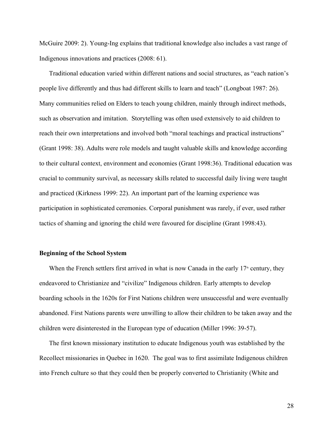McGuire 2009: 2). Young-Ing explains that traditional knowledge also includes a vast range of Indigenous innovations and practices (2008: 61).

Traditional education varied within different nations and social structures, as "each nation's people live differently and thus had different skills to learn and teach" (Longboat 1987: 26). Many communities relied on Elders to teach young children, mainly through indirect methods, such as observation and imitation. Storytelling was often used extensively to aid children to reach their own interpretations and involved both "moral teachings and practical instructions" (Grant 1998: 38). Adults were role models and taught valuable skills and knowledge according to their cultural context, environment and economies (Grant 1998:36). Traditional education was crucial to community survival, as necessary skills related to successful daily living were taught and practiced (Kirkness 1999: 22). An important part of the learning experience was participation in sophisticated ceremonies. Corporal punishment was rarely, if ever, used rather tactics of shaming and ignoring the child were favoured for discipline (Grant 1998:43).

#### **Beginning of the School System**

When the French settlers first arrived in what is now Canada in the early  $17<sup>th</sup>$  century, they endeavored to Christianize and "civilize" Indigenous children. Early attempts to develop boarding schools in the 1620s for First Nations children were unsuccessful and were eventually abandoned. First Nations parents were unwilling to allow their children to be taken away and the children were disinterested in the European type of education (Miller 1996: 39-57).

The first known missionary institution to educate Indigenous youth was established by the Recollect missionaries in Quebec in 1620. The goal was to first assimilate Indigenous children into French culture so that they could then be properly converted to Christianity (White and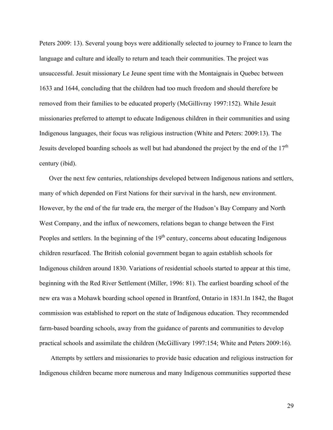Peters 2009: 13). Several young boys were additionally selected to journey to France to learn the language and culture and ideally to return and teach their communities. The project was unsuccessful. Jesuit missionary Le Jeune spent time with the Montaignais in Quebec between 1633 and 1644, concluding that the children had too much freedom and should therefore be removed from their families to be educated properly (McGillivray 1997:152). While Jesuit missionaries preferred to attempt to educate Indigenous children in their communities and using Indigenous languages, their focus was religious instruction (White and Peters: 2009:13). The Jesuits developed boarding schools as well but had abandoned the project by the end of the  $17<sup>th</sup>$ century (ibid).

Over the next few centuries, relationships developed between Indigenous nations and settlers, many of which depended on First Nations for their survival in the harsh, new environment. However, by the end of the fur trade era, the merger of the Hudson's Bay Company and North West Company, and the influx of newcomers, relations began to change between the First Peoples and settlers. In the beginning of the  $19<sup>th</sup>$  century, concerns about educating Indigenous children resurfaced. The British colonial government began to again establish schools for Indigenous children around 1830. Variations of residential schools started to appear at this time, beginning with the Red River Settlement (Miller, 1996: 81). The earliest boarding school of the new era was a Mohawk boarding school opened in Brantford, Ontario in 1831.In 1842, the Bagot commission was established to report on the state of Indigenous education. They recommended farm-based boarding schools, away from the guidance of parents and communities to develop practical schools and assimilate the children (McGillivary 1997:154; White and Peters 2009:16).

Attempts by settlers and missionaries to provide basic education and religious instruction for Indigenous children became more numerous and many Indigenous communities supported these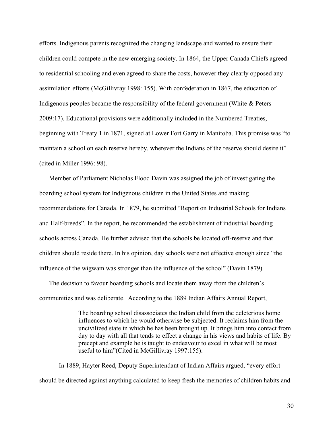efforts. Indigenous parents recognized the changing landscape and wanted to ensure their children could compete in the new emerging society. In 1864, the Upper Canada Chiefs agreed to residential schooling and even agreed to share the costs, however they clearly opposed any assimilation efforts (McGillivray 1998: 155). With confederation in 1867, the education of Indigenous peoples became the responsibility of the federal government (White & Peters 2009:17). Educational provisions were additionally included in the Numbered Treaties, beginning with Treaty 1 in 1871, signed at Lower Fort Garry in Manitoba. This promise was "to maintain a school on each reserve hereby, wherever the Indians of the reserve should desire it" (cited in Miller 1996: 98).

Member of Parliament Nicholas Flood Davin was assigned the job of investigating the boarding school system for Indigenous children in the United States and making recommendations for Canada. In 1879, he submitted "Report on Industrial Schools for Indians and Half-breeds". In the report, he recommended the establishment of industrial boarding schools across Canada. He further advised that the schools be located off-reserve and that children should reside there. In his opinion, day schools were not effective enough since "the influence of the wigwam was stronger than the influence of the school" (Davin 1879).

The decision to favour boarding schools and locate them away from the children's communities and was deliberate. According to the 1889 Indian Affairs Annual Report,

> The boarding school disassociates the Indian child from the deleterious home influences to which he would otherwise be subjected. It reclaims him from the uncivilized state in which he has been brought up. It brings him into contact from day to day with all that tends to effect a change in his views and habits of life. By precept and example he is taught to endeavour to excel in what will be most useful to him"(Cited in McGillivray 1997:155).

In 1889, Hayter Reed, Deputy Superintendant of Indian Affairs argued, "every effort should be directed against anything calculated to keep fresh the memories of children habits and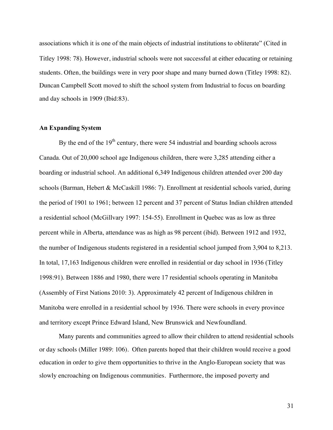associations which it is one of the main objects of industrial institutions to obliterate" (Cited in Titley 1998: 78). However, industrial schools were not successful at either educating or retaining students. Often, the buildings were in very poor shape and many burned down (Titley 1998: 82). Duncan Campbell Scott moved to shift the school system from Industrial to focus on boarding and day schools in 1909 (Ibid:83).

#### **An Expanding System**

By the end of the  $19<sup>th</sup>$  century, there were 54 industrial and boarding schools across Canada. Out of 20,000 school age Indigenous children, there were 3,285 attending either a boarding or industrial school. An additional 6,349 Indigenous children attended over 200 day schools (Barman, Hebert & McCaskill 1986: 7). Enrollment at residential schools varied, during the period of 1901 to 1961; between 12 percent and 37 percent of Status Indian children attended a residential school (McGillvary 1997: 154-55). Enrollment in Quebec was as low as three percent while in Alberta, attendance was as high as 98 percent (ibid). Between 1912 and 1932, the number of Indigenous students registered in a residential school jumped from 3,904 to 8,213. In total, 17,163 Indigenous children were enrolled in residential or day school in 1936 (Titley 1998:91). Between 1886 and 1980, there were 17 residential schools operating in Manitoba (Assembly of First Nations 2010: 3). Approximately 42 percent of Indigenous children in Manitoba were enrolled in a residential school by 1936. There were schools in every province and territory except Prince Edward Island, New Brunswick and Newfoundland.

Many parents and communities agreed to allow their children to attend residential schools or day schools (Miller 1989: 106). Often parents hoped that their children would receive a good education in order to give them opportunities to thrive in the Anglo-European society that was slowly encroaching on Indigenous communities. Furthermore, the imposed poverty and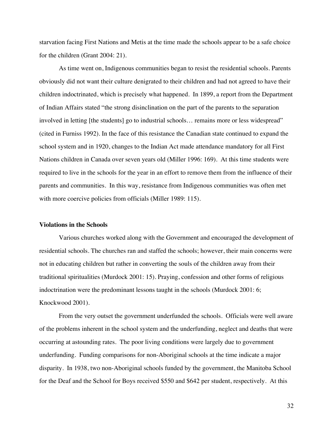starvation facing First Nations and Metis at the time made the schools appear to be a safe choice for the children (Grant 2004: 21).

As time went on, Indigenous communities began to resist the residential schools. Parents obviously did not want their culture denigrated to their children and had not agreed to have their children indoctrinated, which is precisely what happened. In 1899, a report from the Department of Indian Affairs stated "the strong disinclination on the part of the parents to the separation involved in letting [the students] go to industrial schools… remains more or less widespread" (cited in Furniss 1992). In the face of this resistance the Canadian state continued to expand the school system and in 1920, changes to the Indian Act made attendance mandatory for all First Nations children in Canada over seven years old (Miller 1996: 169). At this time students were required to live in the schools for the year in an effort to remove them from the influence of their parents and communities. In this way, resistance from Indigenous communities was often met with more coercive policies from officials (Miller 1989: 115).

#### **Violations in the Schools**

Various churches worked along with the Government and encouraged the development of residential schools. The churches ran and staffed the schools; however, their main concerns were not in educating children but rather in converting the souls of the children away from their traditional spiritualities (Murdock 2001: 15). Praying, confession and other forms of religious indoctrination were the predominant lessons taught in the schools (Murdock 2001: 6; Knockwood 2001).

From the very outset the government underfunded the schools. Officials were well aware of the problems inherent in the school system and the underfunding, neglect and deaths that were occurring at astounding rates. The poor living conditions were largely due to government underfunding. Funding comparisons for non-Aboriginal schools at the time indicate a major disparity. In 1938, two non-Aboriginal schools funded by the government, the Manitoba School for the Deaf and the School for Boys received \$550 and \$642 per student, respectively. At this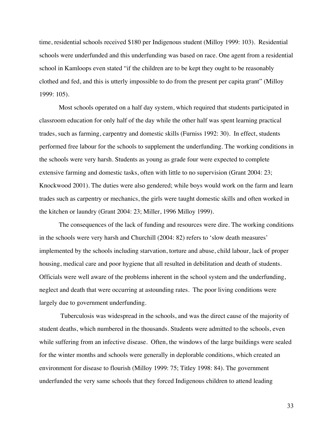time, residential schools received \$180 per Indigenous student (Milloy 1999: 103). Residential schools were underfunded and this underfunding was based on race. One agent from a residential school in Kamloops even stated "if the children are to be kept they ought to be reasonably clothed and fed, and this is utterly impossible to do from the present per capita grant" (Milloy 1999: 105).

Most schools operated on a half day system, which required that students participated in classroom education for only half of the day while the other half was spent learning practical trades, such as farming, carpentry and domestic skills (Furniss 1992: 30). In effect, students performed free labour for the schools to supplement the underfunding. The working conditions in the schools were very harsh. Students as young as grade four were expected to complete extensive farming and domestic tasks, often with little to no supervision (Grant 2004: 23; Knockwood 2001). The duties were also gendered; while boys would work on the farm and learn trades such as carpentry or mechanics, the girls were taught domestic skills and often worked in the kitchen or laundry (Grant 2004: 23; Miller, 1996 Milloy 1999).

The consequences of the lack of funding and resources were dire. The working conditions in the schools were very harsh and Churchill (2004: 82) refers to 'slow death measures' implemented by the schools including starvation, torture and abuse, child labour, lack of proper housing, medical care and poor hygiene that all resulted in debilitation and death of students. Officials were well aware of the problems inherent in the school system and the underfunding, neglect and death that were occurring at astounding rates. The poor living conditions were largely due to government underfunding.

Tuberculosis was widespread in the schools, and was the direct cause of the majority of student deaths, which numbered in the thousands. Students were admitted to the schools, even while suffering from an infective disease. Often, the windows of the large buildings were sealed for the winter months and schools were generally in deplorable conditions, which created an environment for disease to flourish (Milloy 1999: 75; Titley 1998: 84). The government underfunded the very same schools that they forced Indigenous children to attend leading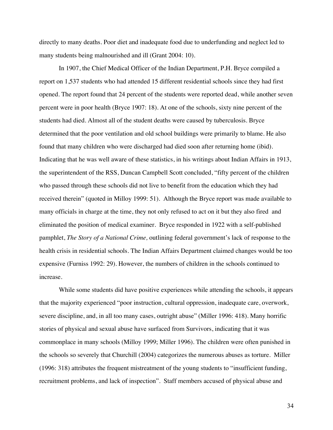directly to many deaths. Poor diet and inadequate food due to underfunding and neglect led to many students being malnourished and ill (Grant 2004: 10).

In 1907, the Chief Medical Officer of the Indian Department, P.H. Bryce compiled a report on 1,537 students who had attended 15 different residential schools since they had first opened. The report found that 24 percent of the students were reported dead, while another seven percent were in poor health (Bryce 1907: 18). At one of the schools, sixty nine percent of the students had died. Almost all of the student deaths were caused by tuberculosis. Bryce determined that the poor ventilation and old school buildings were primarily to blame. He also found that many children who were discharged had died soon after returning home (ibid). Indicating that he was well aware of these statistics, in his writings about Indian Affairs in 1913, the superintendent of the RSS, Duncan Campbell Scott concluded, "fifty percent of the children who passed through these schools did not live to benefit from the education which they had received therein" (quoted in Milloy 1999: 51). Although the Bryce report was made available to many officials in charge at the time, they not only refused to act on it but they also fired and eliminated the position of medical examiner. Bryce responded in 1922 with a self-published pamphlet, *The Story of a National Crime,* outlining federal government's lack of response to the health crisis in residential schools. The Indian Affairs Department claimed changes would be too expensive (Furniss 1992: 29). However, the numbers of children in the schools continued to increase.

While some students did have positive experiences while attending the schools, it appears that the majority experienced "poor instruction, cultural oppression, inadequate care, overwork, severe discipline, and, in all too many cases, outright abuse" (Miller 1996: 418). Many horrific stories of physical and sexual abuse have surfaced from Survivors, indicating that it was commonplace in many schools (Milloy 1999; Miller 1996). The children were often punished in the schools so severely that Churchill (2004) categorizes the numerous abuses as torture. Miller (1996: 318) attributes the frequent mistreatment of the young students to "insufficient funding, recruitment problems, and lack of inspection". Staff members accused of physical abuse and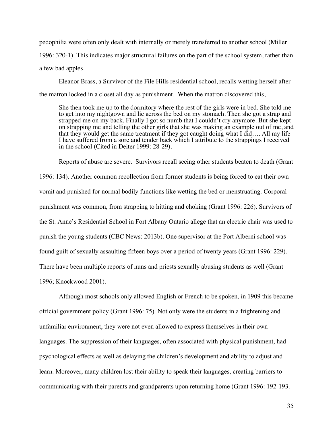pedophilia were often only dealt with internally or merely transferred to another school (Miller 1996: 320-1). This indicates major structural failures on the part of the school system, rather than a few bad apples.

Eleanor Brass, a Survivor of the File Hills residential school, recalls wetting herself after the matron locked in a closet all day as punishment. When the matron discovered this,

She then took me up to the dormitory where the rest of the girls were in bed. She told me to get into my nightgown and lie across the bed on my stomach. Then she got a strap and strapped me on my back. Finally I got so numb that I couldn't cry anymore. But she kept on strapping me and telling the other girls that she was making an example out of me, and that they would get the same treatment if they got caught doing what I did…. All my life I have suffered from a sore and tender back which I attribute to the strappings I received in the school (Cited in Deiter 1999: 28-29).

Reports of abuse are severe. Survivors recall seeing other students beaten to death (Grant 1996: 134). Another common recollection from former students is being forced to eat their own vomit and punished for normal bodily functions like wetting the bed or menstruating. Corporal punishment was common, from strapping to hitting and choking (Grant 1996: 226). Survivors of the St. Anne's Residential School in Fort Albany Ontario allege that an electric chair was used to punish the young students (CBC News: 2013b). One supervisor at the Port Alberni school was found guilt of sexually assaulting fifteen boys over a period of twenty years (Grant 1996: 229). There have been multiple reports of nuns and priests sexually abusing students as well (Grant 1996; Knockwood 2001).

Although most schools only allowed English or French to be spoken, in 1909 this became official government policy (Grant 1996: 75). Not only were the students in a frightening and unfamiliar environment, they were not even allowed to express themselves in their own languages. The suppression of their languages, often associated with physical punishment, had psychological effects as well as delaying the children's development and ability to adjust and learn. Moreover, many children lost their ability to speak their languages, creating barriers to communicating with their parents and grandparents upon returning home (Grant 1996: 192-193.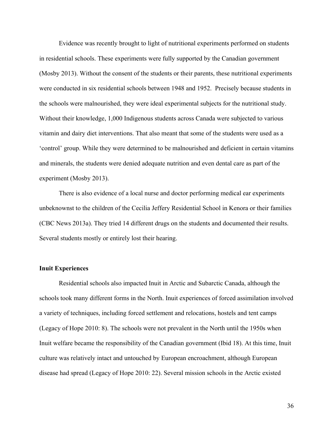Evidence was recently brought to light of nutritional experiments performed on students in residential schools. These experiments were fully supported by the Canadian government (Mosby 2013). Without the consent of the students or their parents, these nutritional experiments were conducted in six residential schools between 1948 and 1952. Precisely because students in the schools were malnourished, they were ideal experimental subjects for the nutritional study. Without their knowledge, 1,000 Indigenous students across Canada were subjected to various vitamin and dairy diet interventions. That also meant that some of the students were used as a 'control' group. While they were determined to be malnourished and deficient in certain vitamins and minerals, the students were denied adequate nutrition and even dental care as part of the experiment (Mosby 2013).

There is also evidence of a local nurse and doctor performing medical ear experiments unbeknownst to the children of the Cecilia Jeffery Residential School in Kenora or their families (CBC News 2013a). They tried 14 different drugs on the students and documented their results. Several students mostly or entirely lost their hearing.

## **Inuit Experiences**

Residential schools also impacted Inuit in Arctic and Subarctic Canada, although the schools took many different forms in the North. Inuit experiences of forced assimilation involved a variety of techniques, including forced settlement and relocations, hostels and tent camps (Legacy of Hope 2010: 8). The schools were not prevalent in the North until the 1950s when Inuit welfare became the responsibility of the Canadian government (Ibid 18). At this time, Inuit culture was relatively intact and untouched by European encroachment, although European disease had spread (Legacy of Hope 2010: 22). Several mission schools in the Arctic existed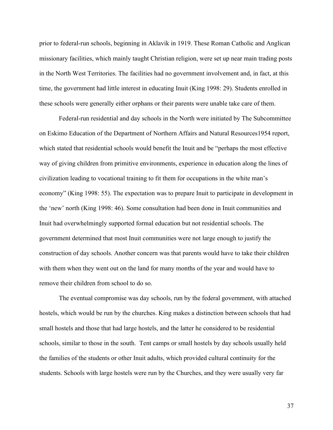prior to federal-run schools, beginning in Aklavik in 1919. These Roman Catholic and Anglican missionary facilities, which mainly taught Christian religion, were set up near main trading posts in the North West Territories. The facilities had no government involvement and, in fact, at this time, the government had little interest in educating Inuit (King 1998: 29). Students enrolled in these schools were generally either orphans or their parents were unable take care of them.

Federal-run residential and day schools in the North were initiated by The Subcommittee on Eskimo Education of the Department of Northern Affairs and Natural Resources1954 report, which stated that residential schools would benefit the Inuit and be "perhaps the most effective way of giving children from primitive environments, experience in education along the lines of civilization leading to vocational training to fit them for occupations in the white man's economy" (King 1998: 55). The expectation was to prepare Inuit to participate in development in the 'new' north (King 1998: 46). Some consultation had been done in Inuit communities and Inuit had overwhelmingly supported formal education but not residential schools. The government determined that most Inuit communities were not large enough to justify the construction of day schools. Another concern was that parents would have to take their children with them when they went out on the land for many months of the year and would have to remove their children from school to do so.

The eventual compromise was day schools, run by the federal government, with attached hostels, which would be run by the churches. King makes a distinction between schools that had small hostels and those that had large hostels, and the latter he considered to be residential schools, similar to those in the south. Tent camps or small hostels by day schools usually held the families of the students or other Inuit adults, which provided cultural continuity for the students. Schools with large hostels were run by the Churches, and they were usually very far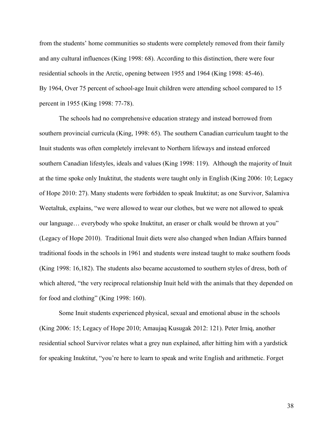from the students' home communities so students were completely removed from their family and any cultural influences (King 1998: 68). According to this distinction, there were four residential schools in the Arctic, opening between 1955 and 1964 (King 1998: 45-46). By 1964, Over 75 percent of school-age Inuit children were attending school compared to 15 percent in 1955 (King 1998: 77-78).

The schools had no comprehensive education strategy and instead borrowed from southern provincial curricula (King, 1998: 65). The southern Canadian curriculum taught to the Inuit students was often completely irrelevant to Northern lifeways and instead enforced southern Canadian lifestyles, ideals and values (King 1998: 119). Although the majority of Inuit at the time spoke only Inuktitut, the students were taught only in English (King 2006: 10; Legacy of Hope 2010: 27). Many students were forbidden to speak Inuktitut; as one Survivor, Salamiva Weetaltuk, explains, "we were allowed to wear our clothes, but we were not allowed to speak our language… everybody who spoke Inuktitut, an eraser or chalk would be thrown at you" (Legacy of Hope 2010). Traditional Inuit diets were also changed when Indian Affairs banned traditional foods in the schools in 1961 and students were instead taught to make southern foods (King 1998: 16,182). The students also became accustomed to southern styles of dress, both of which altered, "the very reciprocal relationship Inuit held with the animals that they depended on for food and clothing" (King 1998: 160).

Some Inuit students experienced physical, sexual and emotional abuse in the schools (King 2006: 15; Legacy of Hope 2010; Amaujaq Kusugak 2012: 121). Peter Irniq, another residential school Survivor relates what a grey nun explained, after hitting him with a yardstick for speaking Inuktitut, "you're here to learn to speak and write English and arithmetic. Forget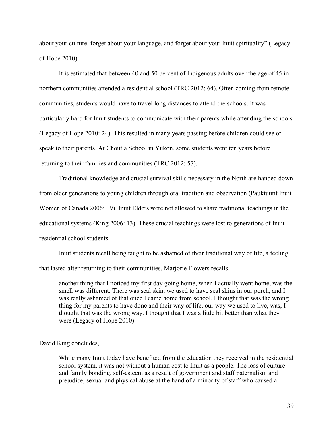about your culture, forget about your language, and forget about your Inuit spirituality" (Legacy of Hope 2010).

It is estimated that between 40 and 50 percent of Indigenous adults over the age of 45 in northern communities attended a residential school (TRC 2012: 64). Often coming from remote communities, students would have to travel long distances to attend the schools. It was particularly hard for Inuit students to communicate with their parents while attending the schools (Legacy of Hope 2010: 24). This resulted in many years passing before children could see or speak to their parents. At Choutla School in Yukon, some students went ten years before returning to their families and communities (TRC 2012: 57).

Traditional knowledge and crucial survival skills necessary in the North are handed down from older generations to young children through oral tradition and observation (Pauktuutit Inuit Women of Canada 2006: 19). Inuit Elders were not allowed to share traditional teachings in the educational systems (King 2006: 13). These crucial teachings were lost to generations of Inuit residential school students.

Inuit students recall being taught to be ashamed of their traditional way of life, a feeling that lasted after returning to their communities. Marjorie Flowers recalls,

another thing that I noticed my first day going home, when I actually went home, was the smell was different. There was seal skin, we used to have seal skins in our porch, and I was really ashamed of that once I came home from school. I thought that was the wrong thing for my parents to have done and their way of life, our way we used to live, was, I thought that was the wrong way. I thought that I was a little bit better than what they were (Legacy of Hope 2010).

David King concludes,

While many Inuit today have benefited from the education they received in the residential school system, it was not without a human cost to Inuit as a people. The loss of culture and family bonding, self-esteem as a result of government and staff paternalism and prejudice, sexual and physical abuse at the hand of a minority of staff who caused a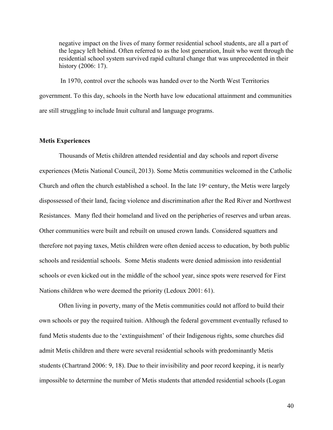negative impact on the lives of many former residential school students, are all a part of the legacy left behind. Often referred to as the lost generation, Inuit who went through the residential school system survived rapid cultural change that was unprecedented in their history (2006: 17).

In 1970, control over the schools was handed over to the North West Territories government. To this day, schools in the North have low educational attainment and communities are still struggling to include Inuit cultural and language programs.

## **Metis Experiences**

Thousands of Metis children attended residential and day schools and report diverse experiences (Metis National Council, 2013). Some Metis communities welcomed in the Catholic Church and often the church established a school. In the late  $19<sup>th</sup>$  century, the Metis were largely dispossessed of their land, facing violence and discrimination after the Red River and Northwest Resistances. Many fled their homeland and lived on the peripheries of reserves and urban areas. Other communities were built and rebuilt on unused crown lands. Considered squatters and therefore not paying taxes, Metis children were often denied access to education, by both public schools and residential schools. Some Metis students were denied admission into residential schools or even kicked out in the middle of the school year, since spots were reserved for First Nations children who were deemed the priority (Ledoux 2001: 61).

Often living in poverty, many of the Metis communities could not afford to build their own schools or pay the required tuition. Although the federal government eventually refused to fund Metis students due to the 'extinguishment' of their Indigenous rights, some churches did admit Metis children and there were several residential schools with predominantly Metis students (Chartrand 2006: 9, 18). Due to their invisibility and poor record keeping, it is nearly impossible to determine the number of Metis students that attended residential schools (Logan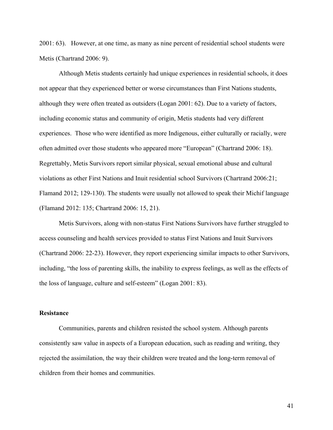2001: 63). However, at one time, as many as nine percent of residential school students were Metis (Chartrand 2006: 9).

Although Metis students certainly had unique experiences in residential schools, it does not appear that they experienced better or worse circumstances than First Nations students, although they were often treated as outsiders (Logan 2001: 62). Due to a variety of factors, including economic status and community of origin, Metis students had very different experiences. Those who were identified as more Indigenous, either culturally or racially, were often admitted over those students who appeared more "European" (Chartrand 2006: 18). Regrettably, Metis Survivors report similar physical, sexual emotional abuse and cultural violations as other First Nations and Inuit residential school Survivors (Chartrand 2006:21; Flamand 2012; 129-130). The students were usually not allowed to speak their Michif language (Flamand 2012: 135; Chartrand 2006: 15, 21).

Metis Survivors, along with non-status First Nations Survivors have further struggled to access counseling and health services provided to status First Nations and Inuit Survivors (Chartrand 2006: 22-23). However, they report experiencing similar impacts to other Survivors, including, "the loss of parenting skills, the inability to express feelings, as well as the effects of the loss of language, culture and self-esteem" (Logan 2001: 83).

## **Resistance**

Communities, parents and children resisted the school system. Although parents consistently saw value in aspects of a European education, such as reading and writing, they rejected the assimilation, the way their children were treated and the long-term removal of children from their homes and communities.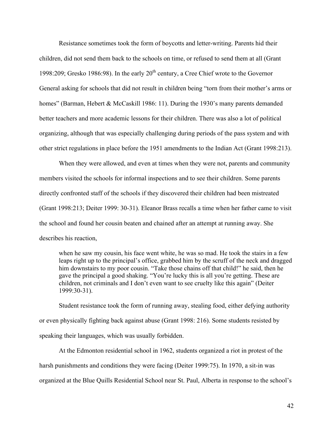Resistance sometimes took the form of boycotts and letter-writing. Parents hid their children, did not send them back to the schools on time, or refused to send them at all (Grant 1998:209; Gresko 1986:98). In the early  $20<sup>th</sup>$  century, a Cree Chief wrote to the Governor General asking for schools that did not result in children being "torn from their mother's arms or homes" (Barman, Hebert & McCaskill 1986: 11). During the 1930's many parents demanded better teachers and more academic lessons for their children. There was also a lot of political organizing, although that was especially challenging during periods of the pass system and with other strict regulations in place before the 1951 amendments to the Indian Act (Grant 1998:213).

When they were allowed, and even at times when they were not, parents and community members visited the schools for informal inspections and to see their children. Some parents directly confronted staff of the schools if they discovered their children had been mistreated (Grant 1998:213; Deiter 1999: 30-31). Eleanor Brass recalls a time when her father came to visit the school and found her cousin beaten and chained after an attempt at running away. She describes his reaction,

when he saw my cousin, his face went white, he was so mad. He took the stairs in a few leaps right up to the principal's office, grabbed him by the scruff of the neck and dragged him downstairs to my poor cousin. "Take those chains off that child!" he said, then he gave the principal a good shaking. "You're lucky this is all you're getting. These are children, not criminals and I don't even want to see cruelty like this again" (Deiter 1999:30-31).

Student resistance took the form of running away, stealing food, either defying authority or even physically fighting back against abuse (Grant 1998: 216). Some students resisted by speaking their languages, which was usually forbidden.

At the Edmonton residential school in 1962, students organized a riot in protest of the harsh punishments and conditions they were facing (Deiter 1999:75). In 1970, a sit-in was organized at the Blue Quills Residential School near St. Paul, Alberta in response to the school's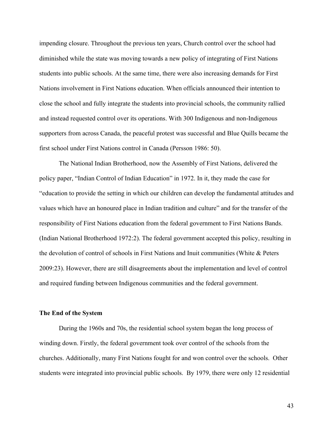impending closure. Throughout the previous ten years, Church control over the school had diminished while the state was moving towards a new policy of integrating of First Nations students into public schools. At the same time, there were also increasing demands for First Nations involvement in First Nations education. When officials announced their intention to close the school and fully integrate the students into provincial schools, the community rallied and instead requested control over its operations. With 300 Indigenous and non-Indigenous supporters from across Canada, the peaceful protest was successful and Blue Quills became the first school under First Nations control in Canada (Persson 1986: 50).

The National Indian Brotherhood, now the Assembly of First Nations, delivered the policy paper, "Indian Control of Indian Education" in 1972. In it, they made the case for "education to provide the setting in which our children can develop the fundamental attitudes and values which have an honoured place in Indian tradition and culture" and for the transfer of the responsibility of First Nations education from the federal government to First Nations Bands. (Indian National Brotherhood 1972:2). The federal government accepted this policy, resulting in the devolution of control of schools in First Nations and Inuit communities (White & Peters 2009:23). However, there are still disagreements about the implementation and level of control and required funding between Indigenous communities and the federal government.

## **The End of the System**

During the 1960s and 70s, the residential school system began the long process of winding down. Firstly, the federal government took over control of the schools from the churches. Additionally, many First Nations fought for and won control over the schools. Other students were integrated into provincial public schools. By 1979, there were only 12 residential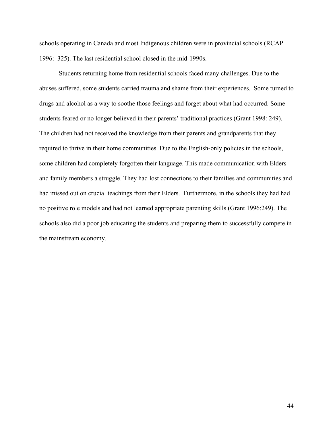schools operating in Canada and most Indigenous children were in provincial schools (RCAP 1996: 325). The last residential school closed in the mid-1990s.

Students returning home from residential schools faced many challenges. Due to the abuses suffered, some students carried trauma and shame from their experiences. Some turned to drugs and alcohol as a way to soothe those feelings and forget about what had occurred. Some students feared or no longer believed in their parents' traditional practices (Grant 1998: 249). The children had not received the knowledge from their parents and grandparents that they required to thrive in their home communities. Due to the English-only policies in the schools, some children had completely forgotten their language. This made communication with Elders and family members a struggle. They had lost connections to their families and communities and had missed out on crucial teachings from their Elders. Furthermore, in the schools they had had no positive role models and had not learned appropriate parenting skills (Grant 1996:249). The schools also did a poor job educating the students and preparing them to successfully compete in the mainstream economy.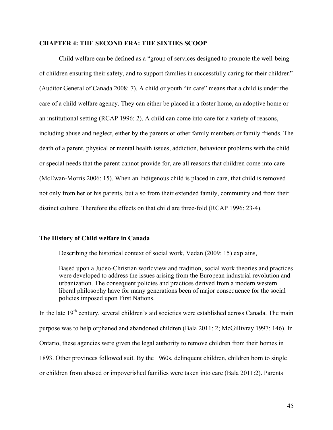#### **CHAPTER 4: THE SECOND ERA: THE SIXTIES SCOOP**

Child welfare can be defined as a "group of services designed to promote the well-being of children ensuring their safety, and to support families in successfully caring for their children" (Auditor General of Canada 2008: 7). A child or youth "in care" means that a child is under the care of a child welfare agency. They can either be placed in a foster home, an adoptive home or an institutional setting (RCAP 1996: 2). A child can come into care for a variety of reasons, including abuse and neglect, either by the parents or other family members or family friends. The death of a parent, physical or mental health issues, addiction, behaviour problems with the child or special needs that the parent cannot provide for, are all reasons that children come into care (McEwan-Morris 2006: 15). When an Indigenous child is placed in care, that child is removed not only from her or his parents, but also from their extended family, community and from their distinct culture. Therefore the effects on that child are three-fold (RCAP 1996: 23-4).

### **The History of Child welfare in Canada**

Describing the historical context of social work, Vedan (2009: 15) explains,

Based upon a Judeo-Christian worldview and tradition, social work theories and practices were developed to address the issues arising from the European industrial revolution and urbanization. The consequent policies and practices derived from a modern western liberal philosophy have for many generations been of major consequence for the social policies imposed upon First Nations.

In the late 19<sup>th</sup> century, several children's aid societies were established across Canada. The main purpose was to help orphaned and abandoned children (Bala 2011: 2; McGillivray 1997: 146). In Ontario, these agencies were given the legal authority to remove children from their homes in 1893. Other provinces followed suit. By the 1960s, delinquent children, children born to single or children from abused or impoverished families were taken into care (Bala 2011:2). Parents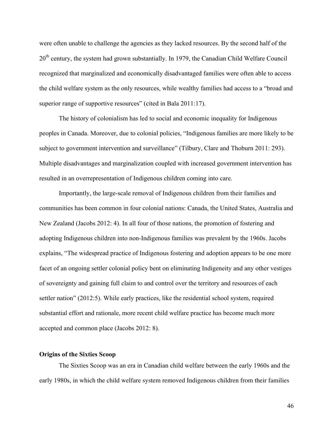were often unable to challenge the agencies as they lacked resources. By the second half of the 20<sup>th</sup> century, the system had grown substantially. In 1979, the Canadian Child Welfare Council recognized that marginalized and economically disadvantaged families were often able to access the child welfare system as the only resources, while wealthy families had access to a "broad and superior range of supportive resources" (cited in Bala 2011:17).

The history of colonialism has led to social and economic inequality for Indigenous peoples in Canada. Moreover, due to colonial policies, "Indigenous families are more likely to be subject to government intervention and surveillance" (Tilbury, Clare and Thoburn 2011: 293). Multiple disadvantages and marginalization coupled with increased government intervention has resulted in an overrepresentation of Indigenous children coming into care.

Importantly, the large-scale removal of Indigenous children from their families and communities has been common in four colonial nations: Canada, the United States, Australia and New Zealand (Jacobs 2012: 4). In all four of those nations, the promotion of fostering and adopting Indigenous children into non-Indigenous families was prevalent by the 1960s. Jacobs explains, "The widespread practice of Indigenous fostering and adoption appears to be one more facet of an ongoing settler colonial policy bent on eliminating Indigeneity and any other vestiges of sovereignty and gaining full claim to and control over the territory and resources of each settler nation" (2012:5). While early practices, like the residential school system, required substantial effort and rationale, more recent child welfare practice has become much more accepted and common place (Jacobs 2012: 8).

### **Origins of the Sixties Scoop**

The Sixties Scoop was an era in Canadian child welfare between the early 1960s and the early 1980s, in which the child welfare system removed Indigenous children from their families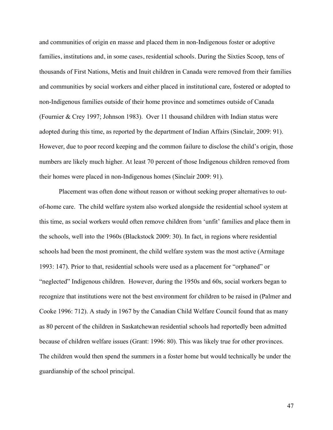and communities of origin en masse and placed them in non-Indigenous foster or adoptive families, institutions and, in some cases, residential schools. During the Sixties Scoop, tens of thousands of First Nations, Metis and Inuit children in Canada were removed from their families and communities by social workers and either placed in institutional care, fostered or adopted to non-Indigenous families outside of their home province and sometimes outside of Canada (Fournier & Crey 1997; Johnson 1983). Over 11 thousand children with Indian status were adopted during this time, as reported by the department of Indian Affairs (Sinclair, 2009: 91). However, due to poor record keeping and the common failure to disclose the child's origin, those numbers are likely much higher. At least 70 percent of those Indigenous children removed from their homes were placed in non-Indigenous homes (Sinclair 2009: 91).

Placement was often done without reason or without seeking proper alternatives to outof-home care. The child welfare system also worked alongside the residential school system at this time, as social workers would often remove children from 'unfit' families and place them in the schools, well into the 1960s (Blackstock 2009: 30). In fact, in regions where residential schools had been the most prominent, the child welfare system was the most active (Armitage 1993: 147). Prior to that, residential schools were used as a placement for "orphaned" or "neglected" Indigenous children. However, during the 1950s and 60s, social workers began to recognize that institutions were not the best environment for children to be raised in (Palmer and Cooke 1996: 712). A study in 1967 by the Canadian Child Welfare Council found that as many as 80 percent of the children in Saskatchewan residential schools had reportedly been admitted because of children welfare issues (Grant: 1996: 80). This was likely true for other provinces. The children would then spend the summers in a foster home but would technically be under the guardianship of the school principal.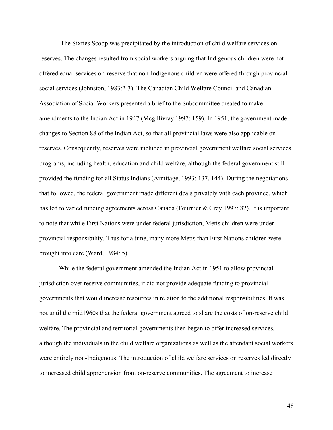The Sixties Scoop was precipitated by the introduction of child welfare services on reserves. The changes resulted from social workers arguing that Indigenous children were not offered equal services on-reserve that non-Indigenous children were offered through provincial social services (Johnston, 1983:2-3). The Canadian Child Welfare Council and Canadian Association of Social Workers presented a brief to the Subcommittee created to make amendments to the Indian Act in 1947 (Mcgillivray 1997: 159). In 1951, the government made changes to Section 88 of the Indian Act, so that all provincial laws were also applicable on reserves. Consequently, reserves were included in provincial government welfare social services programs, including health, education and child welfare, although the federal government still provided the funding for all Status Indians (Armitage, 1993: 137, 144). During the negotiations that followed, the federal government made different deals privately with each province, which has led to varied funding agreements across Canada (Fournier & Crey 1997: 82). It is important to note that while First Nations were under federal jurisdiction, Metis children were under provincial responsibility. Thus for a time, many more Metis than First Nations children were brought into care (Ward, 1984: 5).

While the federal government amended the Indian Act in 1951 to allow provincial jurisdiction over reserve communities, it did not provide adequate funding to provincial governments that would increase resources in relation to the additional responsibilities. It was not until the mid1960s that the federal government agreed to share the costs of on-reserve child welfare. The provincial and territorial governments then began to offer increased services, although the individuals in the child welfare organizations as well as the attendant social workers were entirely non-Indigenous. The introduction of child welfare services on reserves led directly to increased child apprehension from on-reserve communities. The agreement to increase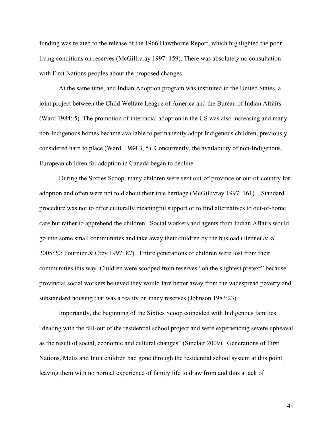funding was related to the release of the 1966 Hawthorne Report, which highlighted the poor living conditions on reserves (McGillivray 1997: 159). There was absolutely no consultation with First Nations peoples about the proposed changes.

At the same time, and Indian Adoption program was instituted in the United States, a joint project between the Child Welfare League of America and the Bureau of Indian Affairs (Ward 1984: 5). The promotion of interracial adoption in the US was also increasing and many non-Indigenous homes became available to permanently adopt Indigenous children, previously considered hard to place (Ward, 1984 3, 5). Concurrently, the availability of non-Indigenous, European children for adoption in Canada began to decline.

During the Sixties Scoop, many children were sent out-of-province or out-of-country for adoption and often were not told about their true heritage (McGillivray 1997: 161). Standard procedure was not to offer culturally meaningful support or to find alternatives to out-of-home care but rather to apprehend the children. Social workers and agents from Indian Affairs would go into some small communities and take away their children by the busload (Bennet *et al*. 2005:20; Fournier & Crey 1997: 87). Entire generations of children were lost from their communities this way. Children were scooped from reserves "on the slightest pretext" because provincial social workers believed they would fare better away from the widespread poverty and substandard housing that was a reality on many reserves (Johnson 1983:23).

Importantly, the beginning of the Sixties Scoop coincided with Indigenous families "dealing with the fall-out of the residential school project and were experiencing severe upheaval as the result of social, economic and cultural changes" (Sinclair 2009). Generations of First Nations, Metis and Inuit children had gone through the residential school system at this point, leaving them with no normal experience of family life to draw from and thus a lack of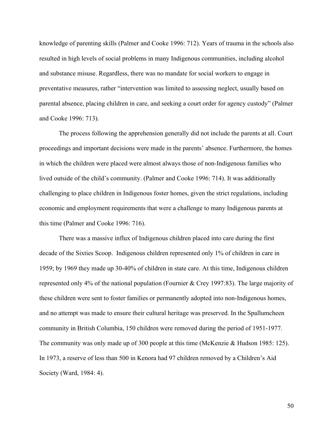knowledge of parenting skills (Palmer and Cooke 1996: 712). Years of trauma in the schools also resulted in high levels of social problems in many Indigenous communities, including alcohol and substance misuse. Regardless, there was no mandate for social workers to engage in preventative measures, rather "intervention was limited to assessing neglect, usually based on parental absence, placing children in care, and seeking a court order for agency custody" (Palmer and Cooke 1996: 713).

The process following the apprehension generally did not include the parents at all. Court proceedings and important decisions were made in the parents' absence. Furthermore, the homes in which the children were placed were almost always those of non-Indigenous families who lived outside of the child's community. (Palmer and Cooke 1996: 714). It was additionally challenging to place children in Indigenous foster homes, given the strict regulations, including economic and employment requirements that were a challenge to many Indigenous parents at this time (Palmer and Cooke 1996: 716).

There was a massive influx of Indigenous children placed into care during the first decade of the Sixties Scoop. Indigenous children represented only 1% of children in care in 1959; by 1969 they made up 30-40% of children in state care. At this time, Indigenous children represented only 4% of the national population (Fournier & Crey 1997:83). The large majority of these children were sent to foster families or permanently adopted into non-Indigenous homes, and no attempt was made to ensure their cultural heritage was preserved. In the Spallumcheen community in British Columbia, 150 children were removed during the period of 1951-1977. The community was only made up of 300 people at this time (McKenzie & Hudson 1985: 125). In 1973, a reserve of less than 500 in Kenora had 97 children removed by a Children's Aid Society (Ward, 1984: 4).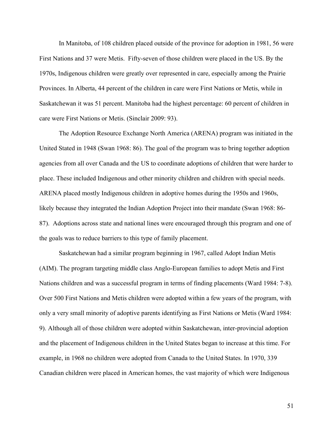In Manitoba, of 108 children placed outside of the province for adoption in 1981, 56 were First Nations and 37 were Metis. Fifty-seven of those children were placed in the US. By the 1970s, Indigenous children were greatly over represented in care, especially among the Prairie Provinces. In Alberta, 44 percent of the children in care were First Nations or Metis, while in Saskatchewan it was 51 percent. Manitoba had the highest percentage: 60 percent of children in care were First Nations or Metis. (Sinclair 2009: 93).

The Adoption Resource Exchange North America (ARENA) program was initiated in the United Stated in 1948 (Swan 1968: 86). The goal of the program was to bring together adoption agencies from all over Canada and the US to coordinate adoptions of children that were harder to place. These included Indigenous and other minority children and children with special needs. ARENA placed mostly Indigenous children in adoptive homes during the 1950s and 1960s, likely because they integrated the Indian Adoption Project into their mandate (Swan 1968: 86- 87). Adoptions across state and national lines were encouraged through this program and one of the goals was to reduce barriers to this type of family placement.

Saskatchewan had a similar program beginning in 1967, called Adopt Indian Metis (AIM). The program targeting middle class Anglo-European families to adopt Metis and First Nations children and was a successful program in terms of finding placements (Ward 1984: 7-8). Over 500 First Nations and Metis children were adopted within a few years of the program, with only a very small minority of adoptive parents identifying as First Nations or Metis (Ward 1984: 9). Although all of those children were adopted within Saskatchewan, inter-provincial adoption and the placement of Indigenous children in the United States began to increase at this time. For example, in 1968 no children were adopted from Canada to the United States. In 1970, 339 Canadian children were placed in American homes, the vast majority of which were Indigenous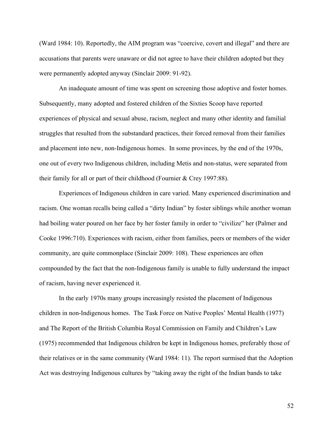(Ward 1984: 10). Reportedly, the AIM program was "coercive, covert and illegal" and there are accusations that parents were unaware or did not agree to have their children adopted but they were permanently adopted anyway (Sinclair 2009: 91-92).

An inadequate amount of time was spent on screening those adoptive and foster homes. Subsequently, many adopted and fostered children of the Sixties Scoop have reported experiences of physical and sexual abuse, racism, neglect and many other identity and familial struggles that resulted from the substandard practices, their forced removal from their families and placement into new, non-Indigenous homes. In some provinces, by the end of the 1970s, one out of every two Indigenous children, including Metis and non-status, were separated from their family for all or part of their childhood (Fournier & Crey 1997:88).

Experiences of Indigenous children in care varied. Many experienced discrimination and racism. One woman recalls being called a "dirty Indian" by foster siblings while another woman had boiling water poured on her face by her foster family in order to "civilize" her (Palmer and Cooke 1996:710). Experiences with racism, either from families, peers or members of the wider community, are quite commonplace (Sinclair 2009: 108). These experiences are often compounded by the fact that the non-Indigenous family is unable to fully understand the impact of racism, having never experienced it.

In the early 1970s many groups increasingly resisted the placement of Indigenous children in non-Indigenous homes. The Task Force on Native Peoples' Mental Health (1977) and The Report of the British Columbia Royal Commission on Family and Children's Law (1975) recommended that Indigenous children be kept in Indigenous homes, preferably those of their relatives or in the same community (Ward 1984: 11). The report surmised that the Adoption Act was destroying Indigenous cultures by "taking away the right of the Indian bands to take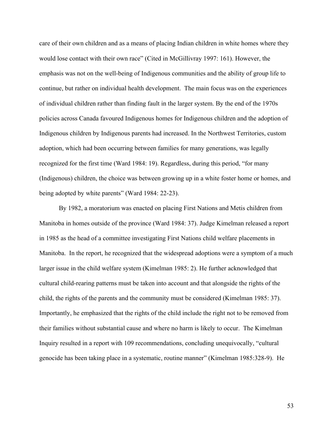care of their own children and as a means of placing Indian children in white homes where they would lose contact with their own race" (Cited in McGillivray 1997: 161). However, the emphasis was not on the well-being of Indigenous communities and the ability of group life to continue, but rather on individual health development. The main focus was on the experiences of individual children rather than finding fault in the larger system. By the end of the 1970s policies across Canada favoured Indigenous homes for Indigenous children and the adoption of Indigenous children by Indigenous parents had increased. In the Northwest Territories, custom adoption, which had been occurring between families for many generations, was legally recognized for the first time (Ward 1984: 19). Regardless, during this period, "for many (Indigenous) children, the choice was between growing up in a white foster home or homes, and being adopted by white parents" (Ward 1984: 22-23).

By 1982, a moratorium was enacted on placing First Nations and Metis children from Manitoba in homes outside of the province (Ward 1984: 37). Judge Kimelman released a report in 1985 as the head of a committee investigating First Nations child welfare placements in Manitoba. In the report, he recognized that the widespread adoptions were a symptom of a much larger issue in the child welfare system (Kimelman 1985: 2). He further acknowledged that cultural child-rearing patterns must be taken into account and that alongside the rights of the child, the rights of the parents and the community must be considered (Kimelman 1985: 37). Importantly, he emphasized that the rights of the child include the right not to be removed from their families without substantial cause and where no harm is likely to occur. The Kimelman Inquiry resulted in a report with 109 recommendations, concluding unequivocally, "cultural genocide has been taking place in a systematic, routine manner" (Kimelman 1985:328-9). He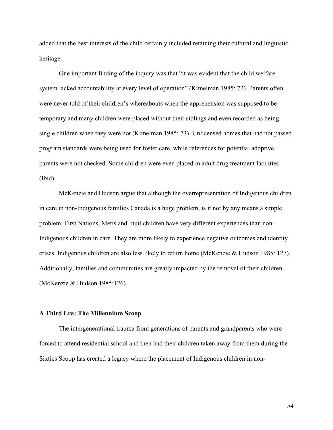added that the best interests of the child certainly included retaining their cultural and linguistic heritage.

One important finding of the inquiry was that "it was evident that the child welfare system lacked accountability at every level of operation" (Kimelman 1985: 72). Parents often were never told of their children's whereabouts when the apprehension was supposed to be temporary and many children were placed without their siblings and even recorded as being single children when they were not (Kimelman 1985: 73). Unlicensed homes that had not passed program standards were being used for foster care, while references for potential adoptive parents were not checked. Some children were even placed in adult drug treatment facilities (Ibid).

McKenzie and Hudson argue that although the overrepresentation of Indigenous children in care in non-Indigenous families Canada is a huge problem, is it not by any means a simple problem. First Nations, Metis and Inuit children have very different experiences than non-Indigenous children in care. They are more likely to experience negative outcomes and identity crises. Indigenous children are also less likely to return home (McKenzie & Hudson 1985: 127). Additionally, families and communities are greatly impacted by the removal of their children (McKenzie & Hudson 1985:126).

# **A Third Era: The Millennium Scoop**

The intergenerational trauma from generations of parents and grandparents who were forced to attend residential school and then had their children taken away from them during the Sixties Scoop has created a legacy where the placement of Indigenous children in non-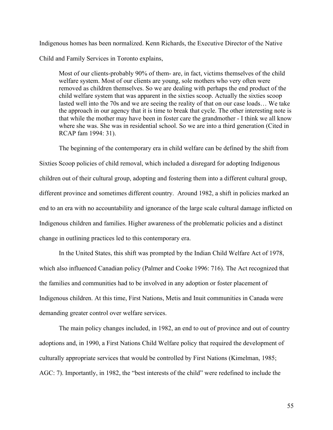Indigenous homes has been normalized. Kenn Richards, the Executive Director of the Native Child and Family Services in Toronto explains,

Most of our clients-probably 90% of them- are, in fact, victims themselves of the child welfare system. Most of our clients are young, sole mothers who very often were removed as children themselves. So we are dealing with perhaps the end product of the child welfare system that was apparent in the sixties scoop. Actually the sixties scoop lasted well into the 70s and we are seeing the reality of that on our case loads… We take the approach in our agency that it is time to break that cycle. The other interesting note is that while the mother may have been in foster care the grandmother - I think we all know where she was. She was in residential school. So we are into a third generation (Cited in RCAP fam 1994: 31).

The beginning of the contemporary era in child welfare can be defined by the shift from Sixties Scoop policies of child removal, which included a disregard for adopting Indigenous children out of their cultural group, adopting and fostering them into a different cultural group, different province and sometimes different country. Around 1982, a shift in policies marked an end to an era with no accountability and ignorance of the large scale cultural damage inflicted on Indigenous children and families. Higher awareness of the problematic policies and a distinct change in outlining practices led to this contemporary era.

In the United States, this shift was prompted by the Indian Child Welfare Act of 1978, which also influenced Canadian policy (Palmer and Cooke 1996: 716). The Act recognized that the families and communities had to be involved in any adoption or foster placement of Indigenous children. At this time, First Nations, Metis and Inuit communities in Canada were demanding greater control over welfare services.

The main policy changes included, in 1982, an end to out of province and out of country adoptions and, in 1990, a First Nations Child Welfare policy that required the development of culturally appropriate services that would be controlled by First Nations (Kimelman, 1985; AGC: 7). Importantly, in 1982, the "best interests of the child" were redefined to include the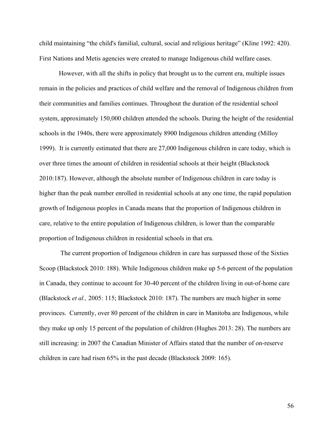child maintaining "the child's familial, cultural, social and religious heritage" (Kline 1992: 420). First Nations and Metis agencies were created to manage Indigenous child welfare cases.

However, with all the shifts in policy that brought us to the current era, multiple issues remain in the policies and practices of child welfare and the removal of Indigenous children from their communities and families continues. Throughout the duration of the residential school system, approximately 150,000 children attended the schools. During the height of the residential schools in the 1940s, there were approximately 8900 Indigenous children attending (Milloy 1999). It is currently estimated that there are 27,000 Indigenous children in care today, which is over three times the amount of children in residential schools at their height (Blackstock 2010:187). However, although the absolute number of Indigenous children in care today is higher than the peak number enrolled in residential schools at any one time, the rapid population growth of Indigenous peoples in Canada means that the proportion of Indigenous children in care, relative to the entire population of Indigenous children, is lower than the comparable proportion of Indigenous children in residential schools in that era.

The current proportion of Indigenous children in care has surpassed those of the Sixties Scoop (Blackstock 2010: 188). While Indigenous children make up 5-6 percent of the population in Canada, they continue to account for 30-40 percent of the children living in out-of-home care (Blackstock *et al.,* 2005: 115; Blackstock 2010: 187). The numbers are much higher in some provinces. Currently, over 80 percent of the children in care in Manitoba are Indigenous, while they make up only 15 percent of the population of children (Hughes 2013: 28). The numbers are still increasing: in 2007 the Canadian Minister of Affairs stated that the number of on-reserve children in care had risen 65% in the past decade (Blackstock 2009: 165).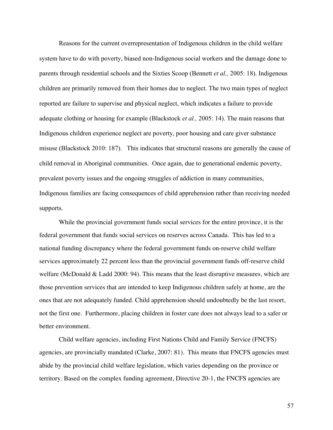Reasons for the current overrepresentation of Indigenous children in the child welfare system have to do with poverty, biased non-Indigenous social workers and the damage done to parents through residential schools and the Sixties Scoop (Bennett *et al.,* 2005: 18). Indigenous children are primarily removed from their homes due to neglect. The two main types of neglect reported are failure to supervise and physical neglect, which indicates a failure to provide adequate clothing or housing for example (Blackstock *et al.,* 2005: 14). The main reasons that Indigenous children experience neglect are poverty, poor housing and care giver substance misuse (Blackstock 2010: 187). This indicates that structural reasons are generally the cause of child removal in Aboriginal communities. Once again, due to generational endemic poverty, prevalent poverty issues and the ongoing struggles of addiction in many communities, Indigenous families are facing consequences of child apprehension rather than receiving needed supports.

While the provincial government funds social services for the entire province, it is the federal government that funds social services on reserves across Canada. This has led to a national funding discrepancy where the federal government funds on-reserve child welfare services approximately 22 percent less than the provincial government funds off-reserve child welfare (McDonald & Ladd 2000: 94). This means that the least disruptive measures*,* which are those prevention services that are intended to keep Indigenous children safely at home, are the ones that are not adequately funded. Child apprehension should undoubtedly be the last resort, not the first one. Furthermore, placing children in foster care does not always lead to a safer or better environment.

Child welfare agencies, including First Nations Child and Family Service (FNCFS) agencies, are provincially mandated (Clarke, 2007: 81). This means that FNCFS agencies must abide by the provincial child welfare legislation, which varies depending on the province or territory. Based on the complex funding agreement, Directive 20-1, the FNCFS agencies are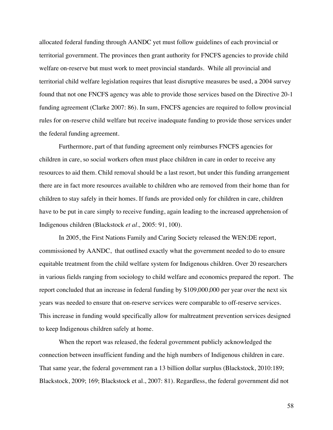allocated federal funding through AANDC yet must follow guidelines of each provincial or territorial government. The provinces then grant authority for FNCFS agencies to provide child welfare on-reserve but must work to meet provincial standards. While all provincial and territorial child welfare legislation requires that least disruptive measures be used, a 2004 survey found that not one FNCFS agency was able to provide those services based on the Directive 20-1 funding agreement (Clarke 2007: 86). In sum, FNCFS agencies are required to follow provincial rules for on-reserve child welfare but receive inadequate funding to provide those services under the federal funding agreement.

Furthermore, part of that funding agreement only reimburses FNCFS agencies for children in care, so social workers often must place children in care in order to receive any resources to aid them. Child removal should be a last resort, but under this funding arrangement there are in fact more resources available to children who are removed from their home than for children to stay safely in their homes. If funds are provided only for children in care, children have to be put in care simply to receive funding, again leading to the increased apprehension of Indigenous children (Blackstock *et al.,* 2005: 91, 100).

In 2005, the First Nations Family and Caring Society released the WEN:DE report, commissioned by AANDC, that outlined exactly what the government needed to do to ensure equitable treatment from the child welfare system for Indigenous children. Over 20 researchers in various fields ranging from sociology to child welfare and economics prepared the report. The report concluded that an increase in federal funding by \$109,000,000 per year over the next six years was needed to ensure that on-reserve services were comparable to off-reserve services. This increase in funding would specifically allow for maltreatment prevention services designed to keep Indigenous children safely at home.

When the report was released, the federal government publicly acknowledged the connection between insufficient funding and the high numbers of Indigenous children in care. That same year, the federal government ran a 13 billion dollar surplus (Blackstock, 2010:189; Blackstock, 2009; 169; Blackstock et al., 2007: 81). Regardless, the federal government did not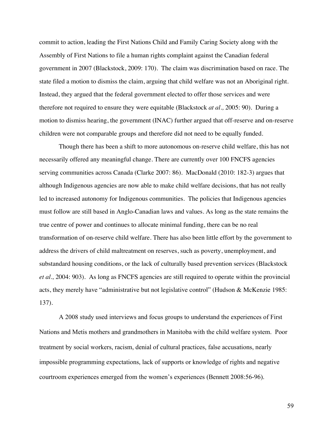commit to action, leading the First Nations Child and Family Caring Society along with the Assembly of First Nations to file a human rights complaint against the Canadian federal government in 2007 (Blackstock, 2009: 170). The claim was discrimination based on race. The state filed a motion to dismiss the claim, arguing that child welfare was not an Aboriginal right. Instead, they argued that the federal government elected to offer those services and were therefore not required to ensure they were equitable (Blackstock *at al.,* 2005: 90). During a motion to dismiss hearing, the government (INAC) further argued that off-reserve and on-reserve children were not comparable groups and therefore did not need to be equally funded.

Though there has been a shift to more autonomous on-reserve child welfare, this has not necessarily offered any meaningful change. There are currently over 100 FNCFS agencies serving communities across Canada (Clarke 2007: 86). MacDonald (2010: 182-3) argues that although Indigenous agencies are now able to make child welfare decisions, that has not really led to increased autonomy for Indigenous communities. The policies that Indigenous agencies must follow are still based in Anglo-Canadian laws and values. As long as the state remains the true centre of power and continues to allocate minimal funding, there can be no real transformation of on-reserve child welfare. There has also been little effort by the government to address the drivers of child maltreatment on reserves, such as poverty, unemployment, and substandard housing conditions, or the lack of culturally based prevention services (Blackstock *et al.,* 2004: 903). As long as FNCFS agencies are still required to operate within the provincial acts, they merely have "administrative but not legislative control" (Hudson & McKenzie 1985: 137).

A 2008 study used interviews and focus groups to understand the experiences of First Nations and Metis mothers and grandmothers in Manitoba with the child welfare system. Poor treatment by social workers, racism, denial of cultural practices, false accusations, nearly impossible programming expectations, lack of supports or knowledge of rights and negative courtroom experiences emerged from the women's experiences (Bennett 2008:56-96).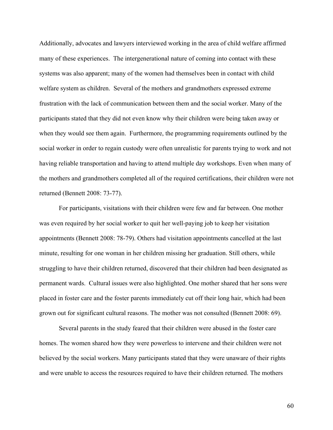Additionally, advocates and lawyers interviewed working in the area of child welfare affirmed many of these experiences. The intergenerational nature of coming into contact with these systems was also apparent; many of the women had themselves been in contact with child welfare system as children. Several of the mothers and grandmothers expressed extreme frustration with the lack of communication between them and the social worker. Many of the participants stated that they did not even know why their children were being taken away or when they would see them again. Furthermore, the programming requirements outlined by the social worker in order to regain custody were often unrealistic for parents trying to work and not having reliable transportation and having to attend multiple day workshops. Even when many of the mothers and grandmothers completed all of the required certifications, their children were not returned (Bennett 2008: 73-77).

For participants, visitations with their children were few and far between. One mother was even required by her social worker to quit her well-paying job to keep her visitation appointments (Bennett 2008: 78-79). Others had visitation appointments cancelled at the last minute, resulting for one woman in her children missing her graduation. Still others, while struggling to have their children returned, discovered that their children had been designated as permanent wards. Cultural issues were also highlighted. One mother shared that her sons were placed in foster care and the foster parents immediately cut off their long hair, which had been grown out for significant cultural reasons. The mother was not consulted (Bennett 2008: 69).

Several parents in the study feared that their children were abused in the foster care homes. The women shared how they were powerless to intervene and their children were not believed by the social workers. Many participants stated that they were unaware of their rights and were unable to access the resources required to have their children returned. The mothers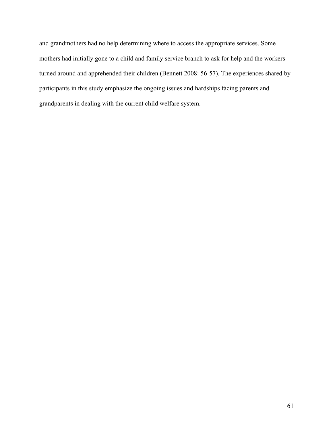and grandmothers had no help determining where to access the appropriate services. Some mothers had initially gone to a child and family service branch to ask for help and the workers turned around and apprehended their children (Bennett 2008: 56-57). The experiences shared by participants in this study emphasize the ongoing issues and hardships facing parents and grandparents in dealing with the current child welfare system.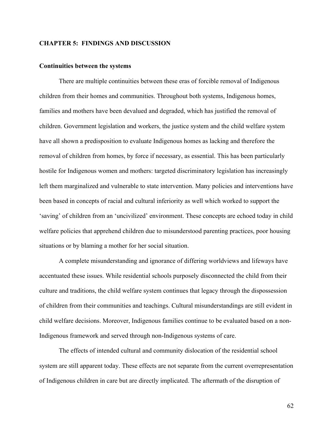## **CHAPTER 5: FINDINGS AND DISCUSSION**

#### **Continuities between the systems**

There are multiple continuities between these eras of forcible removal of Indigenous children from their homes and communities. Throughout both systems, Indigenous homes, families and mothers have been devalued and degraded, which has justified the removal of children. Government legislation and workers, the justice system and the child welfare system have all shown a predisposition to evaluate Indigenous homes as lacking and therefore the removal of children from homes, by force if necessary, as essential. This has been particularly hostile for Indigenous women and mothers: targeted discriminatory legislation has increasingly left them marginalized and vulnerable to state intervention. Many policies and interventions have been based in concepts of racial and cultural inferiority as well which worked to support the 'saving' of children from an 'uncivilized' environment. These concepts are echoed today in child welfare policies that apprehend children due to misunderstood parenting practices, poor housing situations or by blaming a mother for her social situation.

A complete misunderstanding and ignorance of differing worldviews and lifeways have accentuated these issues. While residential schools purposely disconnected the child from their culture and traditions, the child welfare system continues that legacy through the dispossession of children from their communities and teachings. Cultural misunderstandings are still evident in child welfare decisions. Moreover, Indigenous families continue to be evaluated based on a non-Indigenous framework and served through non-Indigenous systems of care.

The effects of intended cultural and community dislocation of the residential school system are still apparent today. These effects are not separate from the current overrepresentation of Indigenous children in care but are directly implicated. The aftermath of the disruption of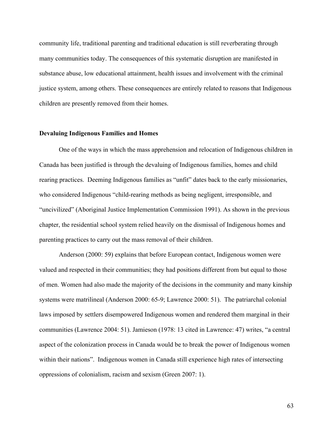community life, traditional parenting and traditional education is still reverberating through many communities today. The consequences of this systematic disruption are manifested in substance abuse, low educational attainment, health issues and involvement with the criminal justice system, among others. These consequences are entirely related to reasons that Indigenous children are presently removed from their homes.

#### **Devaluing Indigenous Families and Homes**

One of the ways in which the mass apprehension and relocation of Indigenous children in Canada has been justified is through the devaluing of Indigenous families, homes and child rearing practices. Deeming Indigenous families as "unfit" dates back to the early missionaries, who considered Indigenous "child-rearing methods as being negligent, irresponsible, and "uncivilized" (Aboriginal Justice Implementation Commission 1991). As shown in the previous chapter, the residential school system relied heavily on the dismissal of Indigenous homes and parenting practices to carry out the mass removal of their children.

Anderson (2000: 59) explains that before European contact, Indigenous women were valued and respected in their communities; they had positions different from but equal to those of men. Women had also made the majority of the decisions in the community and many kinship systems were matrilineal (Anderson 2000: 65-9; Lawrence 2000: 51). The patriarchal colonial laws imposed by settlers disempowered Indigenous women and rendered them marginal in their communities (Lawrence 2004: 51). Jamieson (1978: 13 cited in Lawrence: 47) writes, "a central aspect of the colonization process in Canada would be to break the power of Indigenous women within their nations". Indigenous women in Canada still experience high rates of intersecting oppressions of colonialism, racism and sexism (Green 2007: 1).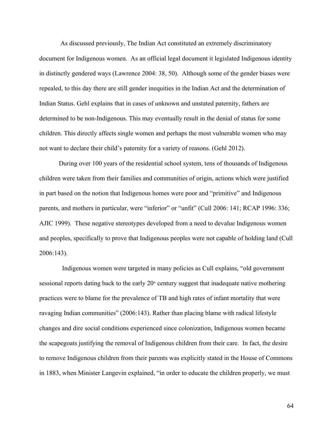As discussed previously, The Indian Act constituted an extremely discriminatory document for Indigenous women. As an official legal document it legislated Indigenous identity in distinctly gendered ways (Lawrence 2004: 38, 50). Although some of the gender biases were repealed, to this day there are still gender inequities in the Indian Act and the determination of Indian Status. Gehl explains that in cases of unknown and unstated paternity, fathers are determined to be non-Indigenous. This may eventually result in the denial of status for some children. This directly affects single women and perhaps the most vulnerable women who may not want to declare their child's paternity for a variety of reasons. (Gehl 2012).

During over 100 years of the residential school system, tens of thousands of Indigenous children were taken from their families and communities of origin, actions which were justified in part based on the notion that Indigenous homes were poor and "primitive" and Indigenous parents, and mothers in particular, were "inferior" or "unfit" (Cull 2006: 141; RCAP 1996: 336; AJIC 1999). These negative stereotypes developed from a need to devalue Indigenous women and peoples, specifically to prove that Indigenous peoples were not capable of holding land (Cull 2006:143).

 Indigenous women were targeted in many policies as Cull explains, "old government sessional reports dating back to the early  $20<sup>th</sup>$  century suggest that inadequate native mothering practices were to blame for the prevalence of TB and high rates of infant mortality that were ravaging Indian communities" (2006:143). Rather than placing blame with radical lifestyle changes and dire social conditions experienced since colonization, Indigenous women became the scapegoats justifying the removal of Indigenous children from their care. In fact, the desire to remove Indigenous children from their parents was explicitly stated in the House of Commons in 1883, when Minister Langevin explained, "in order to educate the children properly, we must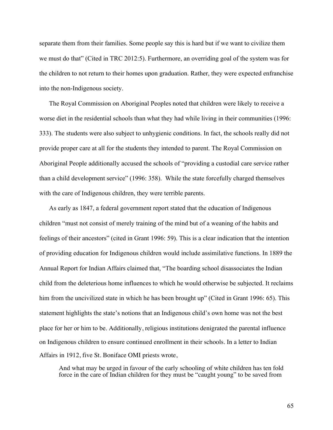separate them from their families. Some people say this is hard but if we want to civilize them we must do that" (Cited in TRC 2012:5). Furthermore, an overriding goal of the system was for the children to not return to their homes upon graduation. Rather, they were expected enfranchise into the non-Indigenous society.

The Royal Commission on Aboriginal Peoples noted that children were likely to receive a worse diet in the residential schools than what they had while living in their communities (1996: 333). The students were also subject to unhygienic conditions. In fact, the schools really did not provide proper care at all for the students they intended to parent. The Royal Commission on Aboriginal People additionally accused the schools of "providing a custodial care service rather than a child development service" (1996: 358). While the state forcefully charged themselves with the care of Indigenous children, they were terrible parents.

As early as 1847, a federal government report stated that the education of Indigenous children "must not consist of merely training of the mind but of a weaning of the habits and feelings of their ancestors" (cited in Grant 1996: 59). This is a clear indication that the intention of providing education for Indigenous children would include assimilative functions. In 1889 the Annual Report for Indian Affairs claimed that, "The boarding school disassociates the Indian child from the deleterious home influences to which he would otherwise be subjected. It reclaims him from the uncivilized state in which he has been brought up" (Cited in Grant 1996: 65). This statement highlights the state's notions that an Indigenous child's own home was not the best place for her or him to be. Additionally, religious institutions denigrated the parental influence on Indigenous children to ensure continued enrollment in their schools. In a letter to Indian Affairs in 1912, five St. Boniface OMI priests wrote,

And what may be urged in favour of the early schooling of white children has ten fold force in the care of Indian children for they must be "caught young" to be saved from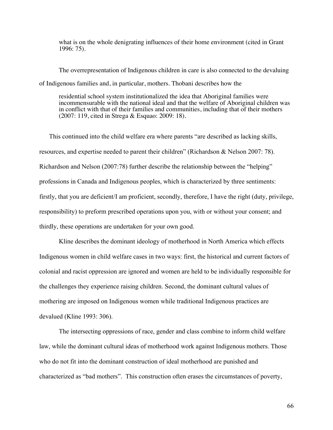what is on the whole denigrating influences of their home environment (cited in Grant 1996: 75).

The overrepresentation of Indigenous children in care is also connected to the devaluing of Indigenous families and, in particular, mothers. Thobani describes how the

residential school system institutionalized the idea that Aboriginal families were incommensurable with the national ideal and that the welfare of Aboriginal children was in conflict with that of their families and communities, including that of their mothers (2007: 119, cited in Strega & Esquao: 2009: 18).

This continued into the child welfare era where parents "are described as lacking skills, resources, and expertise needed to parent their children" (Richardson & Nelson 2007: 78). Richardson and Nelson (2007:78) further describe the relationship between the "helping" professions in Canada and Indigenous peoples, which is characterized by three sentiments: firstly, that you are deficient/I am proficient, secondly, therefore, I have the right (duty, privilege, responsibility) to preform prescribed operations upon you, with or without your consent; and thirdly, these operations are undertaken for your own good.

Kline describes the dominant ideology of motherhood in North America which effects Indigenous women in child welfare cases in two ways: first, the historical and current factors of colonial and racist oppression are ignored and women are held to be individually responsible for the challenges they experience raising children. Second, the dominant cultural values of mothering are imposed on Indigenous women while traditional Indigenous practices are devalued (Kline 1993: 306).

The intersecting oppressions of race, gender and class combine to inform child welfare law, while the dominant cultural ideas of motherhood work against Indigenous mothers. Those who do not fit into the dominant construction of ideal motherhood are punished and characterized as "bad mothers". This construction often erases the circumstances of poverty,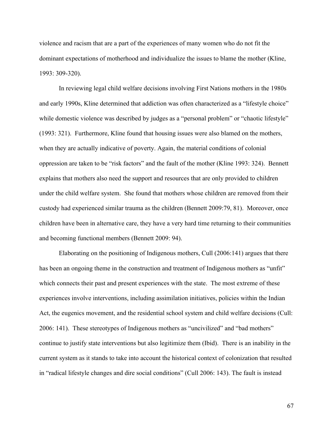violence and racism that are a part of the experiences of many women who do not fit the dominant expectations of motherhood and individualize the issues to blame the mother (Kline, 1993: 309-320).

In reviewing legal child welfare decisions involving First Nations mothers in the 1980s and early 1990s, Kline determined that addiction was often characterized as a "lifestyle choice" while domestic violence was described by judges as a "personal problem" or "chaotic lifestyle" (1993: 321). Furthermore, Kline found that housing issues were also blamed on the mothers, when they are actually indicative of poverty. Again, the material conditions of colonial oppression are taken to be "risk factors" and the fault of the mother (Kline 1993: 324). Bennett explains that mothers also need the support and resources that are only provided to children under the child welfare system. She found that mothers whose children are removed from their custody had experienced similar trauma as the children (Bennett 2009:79, 81). Moreover, once children have been in alternative care, they have a very hard time returning to their communities and becoming functional members (Bennett 2009: 94).

Elaborating on the positioning of Indigenous mothers, Cull (2006:141) argues that there has been an ongoing theme in the construction and treatment of Indigenous mothers as "unfit" which connects their past and present experiences with the state. The most extreme of these experiences involve interventions, including assimilation initiatives, policies within the Indian Act, the eugenics movement, and the residential school system and child welfare decisions (Cull: 2006: 141). These stereotypes of Indigenous mothers as "uncivilized" and "bad mothers" continue to justify state interventions but also legitimize them (Ibid). There is an inability in the current system as it stands to take into account the historical context of colonization that resulted in "radical lifestyle changes and dire social conditions" (Cull 2006: 143). The fault is instead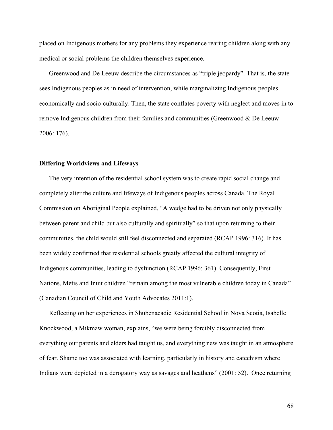placed on Indigenous mothers for any problems they experience rearing children along with any medical or social problems the children themselves experience.

Greenwood and De Leeuw describe the circumstances as "triple jeopardy". That is, the state sees Indigenous peoples as in need of intervention, while marginalizing Indigenous peoples economically and socio-culturally. Then, the state conflates poverty with neglect and moves in to remove Indigenous children from their families and communities (Greenwood & De Leeuw 2006: 176).

#### **Differing Worldviews and Lifeways**

The very intention of the residential school system was to create rapid social change and completely alter the culture and lifeways of Indigenous peoples across Canada. The Royal Commission on Aboriginal People explained, "A wedge had to be driven not only physically between parent and child but also culturally and spiritually" so that upon returning to their communities, the child would still feel disconnected and separated (RCAP 1996: 316). It has been widely confirmed that residential schools greatly affected the cultural integrity of Indigenous communities, leading to dysfunction (RCAP 1996: 361). Consequently, First Nations, Metis and Inuit children "remain among the most vulnerable children today in Canada" (Canadian Council of Child and Youth Advocates 2011:1).

Reflecting on her experiences in Shubenacadie Residential School in Nova Scotia, Isabelle Knockwood, a Mikmaw woman, explains, "we were being forcibly disconnected from everything our parents and elders had taught us, and everything new was taught in an atmosphere of fear. Shame too was associated with learning, particularly in history and catechism where Indians were depicted in a derogatory way as savages and heathens" (2001: 52). Once returning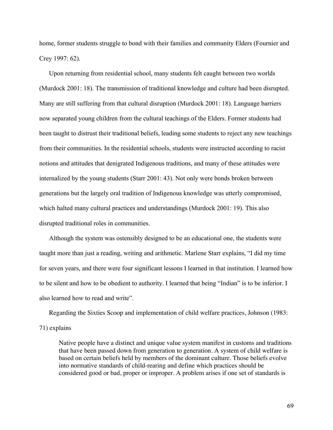home, former students struggle to bond with their families and community Elders (Fournier and Crey 1997: 62).

Upon returning from residential school, many students felt caught between two worlds (Murdock 2001: 18). The transmission of traditional knowledge and culture had been disrupted. Many are still suffering from that cultural disruption (Murdock 2001: 18). Language barriers now separated young children from the cultural teachings of the Elders. Former students had been taught to distrust their traditional beliefs, leading some students to reject any new teachings from their communities. In the residential schools, students were instructed according to racist notions and attitudes that denigrated Indigenous traditions, and many of these attitudes were internalized by the young students (Starr 2001: 43). Not only were bonds broken between generations but the largely oral tradition of Indigenous knowledge was utterly compromised, which halted many cultural practices and understandings (Murdock 2001: 19). This also disrupted traditional roles in communities.

Although the system was ostensibly designed to be an educational one, the students were taught more than just a reading, writing and arithmetic. Marlene Starr explains, "I did my time for seven years, and there were four significant lessons I learned in that institution. I learned how to be silent and how to be obedient to authority. I learned that being "Indian" is to be inferior. I also learned how to read and write".

Regarding the Sixties Scoop and implementation of child welfare practices, Johnson (1983:

### 71) explains

Native people have a distinct and unique value system manifest in customs and traditions that have been passed down from generation to generation. A system of child welfare is based on certain beliefs held by members of the dominant culture. Those beliefs evolve into normative standards of child-rearing and define which practices should be considered good or bad, proper or improper. A problem arises if one set of standards is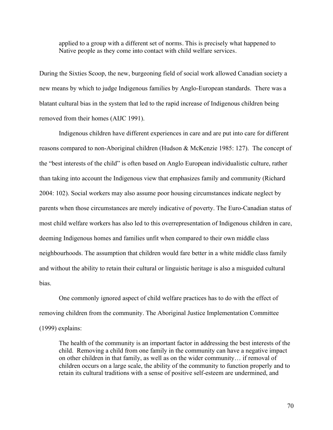applied to a group with a different set of norms. This is precisely what happened to Native people as they come into contact with child welfare services.

During the Sixties Scoop, the new, burgeoning field of social work allowed Canadian society a new means by which to judge Indigenous families by Anglo-European standards. There was a blatant cultural bias in the system that led to the rapid increase of Indigenous children being removed from their homes (AIJC 1991).

Indigenous children have different experiences in care and are put into care for different reasons compared to non-Aboriginal children (Hudson & McKenzie 1985: 127). The concept of the "best interests of the child" is often based on Anglo European individualistic culture, rather than taking into account the Indigenous view that emphasizes family and community (Richard 2004: 102). Social workers may also assume poor housing circumstances indicate neglect by parents when those circumstances are merely indicative of poverty. The Euro-Canadian status of most child welfare workers has also led to this overrepresentation of Indigenous children in care, deeming Indigenous homes and families unfit when compared to their own middle class neighbourhoods. The assumption that children would fare better in a white middle class family and without the ability to retain their cultural or linguistic heritage is also a misguided cultural bias.

One commonly ignored aspect of child welfare practices has to do with the effect of removing children from the community. The Aboriginal Justice Implementation Committee (1999) explains:

The health of the community is an important factor in addressing the best interests of the child. Removing a child from one family in the community can have a negative impact on other children in that family, as well as on the wider community… if removal of children occurs on a large scale, the ability of the community to function properly and to retain its cultural traditions with a sense of positive self-esteem are undermined, and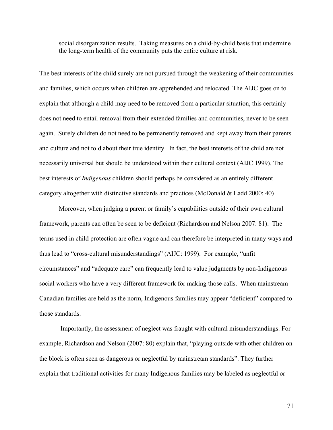social disorganization results. Taking measures on a child-by-child basis that undermine the long-term health of the community puts the entire culture at risk.

The best interests of the child surely are not pursued through the weakening of their communities and families, which occurs when children are apprehended and relocated. The AIJC goes on to explain that although a child may need to be removed from a particular situation, this certainly does not need to entail removal from their extended families and communities, never to be seen again. Surely children do not need to be permanently removed and kept away from their parents and culture and not told about their true identity. In fact, the best interests of the child are not necessarily universal but should be understood within their cultural context (AIJC 1999). The best interests of *Indigenous* children should perhaps be considered as an entirely different category altogether with distinctive standards and practices (McDonald & Ladd 2000: 40).

Moreover, when judging a parent or family's capabilities outside of their own cultural framework, parents can often be seen to be deficient (Richardson and Nelson 2007: 81). The terms used in child protection are often vague and can therefore be interpreted in many ways and thus lead to "cross-cultural misunderstandings" (AIJC: 1999). For example, "unfit circumstances" and "adequate care" can frequently lead to value judgments by non-Indigenous social workers who have a very different framework for making those calls. When mainstream Canadian families are held as the norm, Indigenous families may appear "deficient" compared to those standards.

Importantly, the assessment of neglect was fraught with cultural misunderstandings. For example, Richardson and Nelson (2007: 80) explain that, "playing outside with other children on the block is often seen as dangerous or neglectful by mainstream standards". They further explain that traditional activities for many Indigenous families may be labeled as neglectful or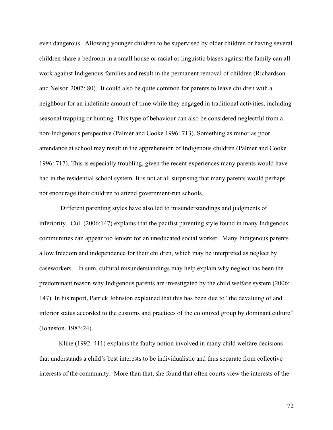even dangerous. Allowing younger children to be supervised by older children or having several children share a bedroom in a small house or racial or linguistic biases against the family can all work against Indigenous families and result in the permanent removal of children (Richardson and Nelson 2007: 80). It could also be quite common for parents to leave children with a neighbour for an indefinite amount of time while they engaged in traditional activities, including seasonal trapping or hunting. This type of behaviour can also be considered neglectful from a non-Indigenous perspective (Palmer and Cooke 1996: 713). Something as minor as poor attendance at school may result in the apprehension of Indigenous children (Palmer and Cooke 1996: 717). This is especially troubling, given the recent experiences many parents would have had in the residential school system. It is not at all surprising that many parents would perhaps not encourage their children to attend government-run schools.

Different parenting styles have also led to misunderstandings and judgments of inferiority. Cull (2006:147) explains that the pacifist parenting style found in many Indigenous communities can appear too lenient for an uneducated social worker. Many Indigenous parents allow freedom and independence for their children, which may be interpreted as neglect by caseworkers. In sum, cultural misunderstandings may help explain why neglect has been the predominant reason why Indigenous parents are investigated by the child welfare system (2006: 147). In his report, Patrick Johnston explained that this has been due to "the devaluing of and inferior status accorded to the customs and practices of the colonized group by dominant culture" (Johnston, 1983:24).

Kline (1992: 411) explains the faulty notion involved in many child welfare decisions that understands a child's best interests to be individualistic and thus separate from collective interests of the community. More than that, she found that often courts view the interests of the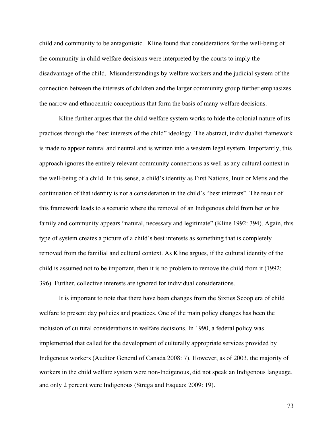child and community to be antagonistic. Kline found that considerations for the well-being of the community in child welfare decisions were interpreted by the courts to imply the disadvantage of the child. Misunderstandings by welfare workers and the judicial system of the connection between the interests of children and the larger community group further emphasizes the narrow and ethnocentric conceptions that form the basis of many welfare decisions.

Kline further argues that the child welfare system works to hide the colonial nature of its practices through the "best interests of the child" ideology. The abstract, individualist framework is made to appear natural and neutral and is written into a western legal system. Importantly, this approach ignores the entirely relevant community connections as well as any cultural context in the well-being of a child. In this sense, a child's identity as First Nations, Inuit or Metis and the continuation of that identity is not a consideration in the child's "best interests". The result of this framework leads to a scenario where the removal of an Indigenous child from her or his family and community appears "natural, necessary and legitimate" (Kline 1992: 394). Again, this type of system creates a picture of a child's best interests as something that is completely removed from the familial and cultural context. As Kline argues, if the cultural identity of the child is assumed not to be important, then it is no problem to remove the child from it (1992: 396). Further, collective interests are ignored for individual considerations.

It is important to note that there have been changes from the Sixties Scoop era of child welfare to present day policies and practices. One of the main policy changes has been the inclusion of cultural considerations in welfare decisions. In 1990, a federal policy was implemented that called for the development of culturally appropriate services provided by Indigenous workers (Auditor General of Canada 2008: 7). However, as of 2003, the majority of workers in the child welfare system were non-Indigenous, did not speak an Indigenous language, and only 2 percent were Indigenous (Strega and Esquao: 2009: 19).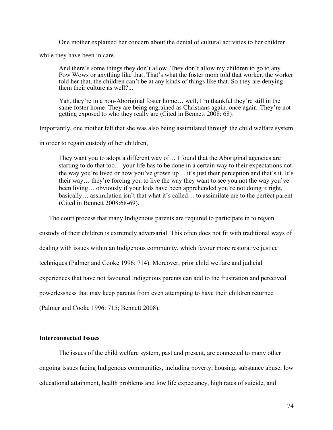One mother explained her concern about the denial of cultural activities to her children

while they have been in care,

And there's some things they don't allow. They don't allow my children to go to any Pow Wows or anything like that. That's what the foster mom told that worker, the worker told her that, the children can't be at any kinds of things like that. So they are denying them their culture as well?...

Yah, they're in a non-Aboriginal foster home… well, I'm thankful they're still in the same foster home. They are being engrained as Christians again, once again. They're not getting exposed to who they really are (Cited in Bennett 2008: 68).

Importantly, one mother felt that she was also being assimilated through the child welfare system

in order to regain custody of her children,

They want you to adopt a different way of… I found that the Aboriginal agencies are starting to do that too… your life has to be done in a certain way to their expectations not the way you're lived or how you've grown up… it's just their perception and that's it. It's their way… they're forcing you to live the way they want to see you not the way you've been living… obviously if your kids have been apprehended you're not doing it right, basically… assimilation isn't that what it's called… to assimilate me to the perfect parent (Cited in Bennett 2008:68-69).

The court process that many Indigenous parents are required to participate in to regain

custody of their children is extremely adversarial. This often does not fit with traditional ways of

dealing with issues within an Indigenous community, which favour more restorative justice

techniques (Palmer and Cooke 1996: 714). Moreover, prior child welfare and judicial

experiences that have not favoured Indigenous parents can add to the frustration and perceived

powerlessness that may keep parents from even attempting to have their children returned

(Palmer and Cooke 1996: 715; Bennett 2008).

# **Interconnected Issues**

The issues of the child welfare system, past and present, are connected to many other ongoing issues facing Indigenous communities, including poverty, housing, substance abuse, low educational attainment, health problems and low life expectancy, high rates of suicide, and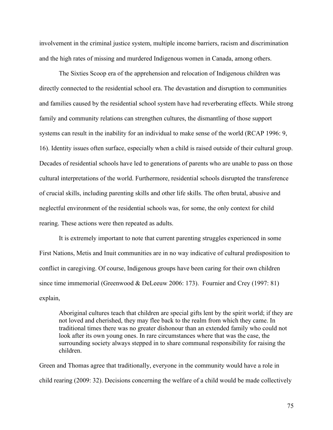involvement in the criminal justice system, multiple income barriers, racism and discrimination and the high rates of missing and murdered Indigenous women in Canada, among others.

The Sixties Scoop era of the apprehension and relocation of Indigenous children was directly connected to the residential school era. The devastation and disruption to communities and families caused by the residential school system have had reverberating effects. While strong family and community relations can strengthen cultures, the dismantling of those support systems can result in the inability for an individual to make sense of the world (RCAP 1996: 9, 16). Identity issues often surface, especially when a child is raised outside of their cultural group. Decades of residential schools have led to generations of parents who are unable to pass on those cultural interpretations of the world. Furthermore, residential schools disrupted the transference of crucial skills, including parenting skills and other life skills. The often brutal, abusive and neglectful environment of the residential schools was, for some, the only context for child rearing. These actions were then repeated as adults.

It is extremely important to note that current parenting struggles experienced in some First Nations, Metis and Inuit communities are in no way indicative of cultural predisposition to conflict in caregiving. Of course, Indigenous groups have been caring for their own children since time immemorial (Greenwood & DeLeeuw 2006: 173). Fournier and Crey (1997: 81) explain,

Aboriginal cultures teach that children are special gifts lent by the spirit world; if they are not loved and cherished, they may flee back to the realm from which they came. In traditional times there was no greater dishonour than an extended family who could not look after its own young ones. In rare circumstances where that was the case, the surrounding society always stepped in to share communal responsibility for raising the children.

Green and Thomas agree that traditionally, everyone in the community would have a role in child rearing (2009: 32). Decisions concerning the welfare of a child would be made collectively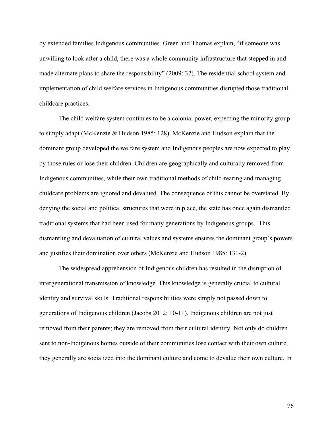by extended families Indigenous communities. Green and Thomas explain, "if someone was unwilling to look after a child, there was a whole community infrastructure that stepped in and made alternate plans to share the responsibility" (2009: 32). The residential school system and implementation of child welfare services in Indigenous communities disrupted those traditional childcare practices.

The child welfare system continues to be a colonial power, expecting the minority group to simply adapt (McKenzie & Hudson 1985: 128). McKenzie and Hudson explain that the dominant group developed the welfare system and Indigenous peoples are now expected to play by those rules or lose their children. Children are geographically and culturally removed from Indigenous communities, while their own traditional methods of child-rearing and managing childcare problems are ignored and devalued. The consequence of this cannot be overstated. By denying the social and political structures that were in place, the state has once again dismantled traditional systems that had been used for many generations by Indigenous groups. This dismantling and devaluation of cultural values and systems ensures the dominant group's powers and justifies their domination over others (McKenzie and Hudson 1985: 131-2).

The widespread apprehension of Indigenous children has resulted in the disruption of intergenerational transmission of knowledge. This knowledge is generally crucial to cultural identity and survival skills. Traditional responsibilities were simply not passed down to generations of Indigenous children (Jacobs 2012: 10-11). Indigenous children are not just removed from their parents; they are removed from their cultural identity. Not only do children sent to non-Indigenous homes outside of their communities lose contact with their own culture, they generally are socialized into the dominant culture and come to devalue their own culture. In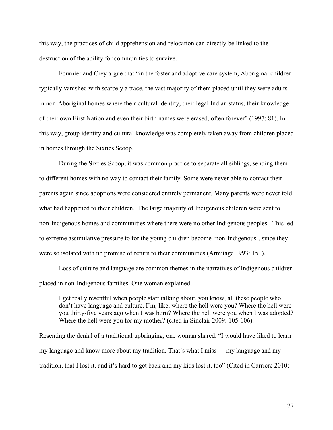this way, the practices of child apprehension and relocation can directly be linked to the destruction of the ability for communities to survive.

Fournier and Crey argue that "in the foster and adoptive care system, Aboriginal children typically vanished with scarcely a trace, the vast majority of them placed until they were adults in non-Aboriginal homes where their cultural identity, their legal Indian status, their knowledge of their own First Nation and even their birth names were erased, often forever" (1997: 81). In this way, group identity and cultural knowledge was completely taken away from children placed in homes through the Sixties Scoop.

During the Sixties Scoop, it was common practice to separate all siblings, sending them to different homes with no way to contact their family. Some were never able to contact their parents again since adoptions were considered entirely permanent. Many parents were never told what had happened to their children. The large majority of Indigenous children were sent to non-Indigenous homes and communities where there were no other Indigenous peoples. This led to extreme assimilative pressure to for the young children become 'non-Indigenous', since they were so isolated with no promise of return to their communities (Armitage 1993: 151).

Loss of culture and language are common themes in the narratives of Indigenous children placed in non-Indigenous families. One woman explained,

I get really resentful when people start talking about, you know, all these people who don't have language and culture. I'm, like, where the hell were you? Where the hell were you thirty-five years ago when I was born? Where the hell were you when I was adopted? Where the hell were you for my mother? (cited in Sinclair 2009: 105-106).

Resenting the denial of a traditional upbringing, one woman shared, "I would have liked to learn my language and know more about my tradition. That's what I miss — my language and my tradition, that I lost it, and it's hard to get back and my kids lost it, too" (Cited in Carriere 2010: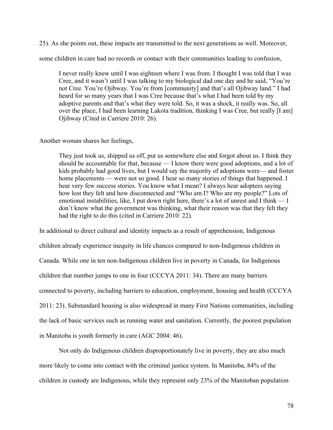25). As she points out, these impacts are transmitted to the next generations as well. Moreover,

some children in care had no records or contact with their communities leading to confusion,

I never really knew until I was eighteen where I was from. I thought I was told that I was Cree, and it wasn't until I was talking to my biological dad one day and he said, "You're not Cree. You're Ojibway. You're from [community] and that's all Ojibway land." I had heard for so many years that I was Cree because that's what I had been told by my adoptive parents and that's what they were told. So, it was a shock, it really was. So, all over the place, I had been learning Lakota tradition, thinking I was Cree, but really [I am] Ojibway (Cited in Carriere 2010: 26).

Another woman shares her feelings,

They just took us, shipped us off, put us somewhere else and forgot about us. I think they should be accountable for that, because — I know there were good adoptions, and a lot of kids probably had good lives, but I would say the majority of adoptions were— and foster home placements — were not so good. I hear so many stories of things that happened. I hear very few success stories. You know what I mean? I always hear adoptees saying how lost they felt and how disconnected and "Who am I? Who are my people?" Lots of emotional instabilities, like, I put down right here, there's a lot of unrest and I think — I don't know what the government was thinking, what their reason was that they felt they had the right to do this (cited in Carriere 2010: 22).

In additional to direct cultural and identity impacts as a result of apprehension, Indigenous children already experience inequity in life chances compared to non-Indigenous children in Canada. While one in ten non-Indigenous children live in poverty in Canada, for Indigenous children that number jumps to one in four (CCCYA 2011: 34). There are many barriers connected to poverty, including barriers to education, employment, housing and health (CCCYA 2011: 23). Substandard housing is also widespread in many First Nations communities, including the lack of basic services such as running water and sanitation. Currently, the poorest population in Manitoba is youth formerly in care (AGC 2004: 46).

Not only do Indigenous children disproportionately live in poverty, they are also much more likely to come into contact with the criminal justice system. In Manitoba, 84% of the children in custody are Indigenous, while they represent only 23% of the Manitoban population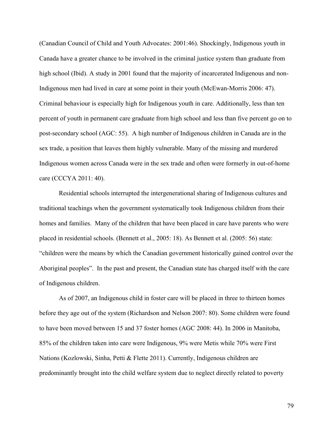(Canadian Council of Child and Youth Advocates: 2001:46). Shockingly, Indigenous youth in Canada have a greater chance to be involved in the criminal justice system than graduate from high school (Ibid). A study in 2001 found that the majority of incarcerated Indigenous and non-Indigenous men had lived in care at some point in their youth (McEwan-Morris 2006: 47). Criminal behaviour is especially high for Indigenous youth in care. Additionally, less than ten percent of youth in permanent care graduate from high school and less than five percent go on to post-secondary school (AGC: 55). A high number of Indigenous children in Canada are in the sex trade, a position that leaves them highly vulnerable. Many of the missing and murdered Indigenous women across Canada were in the sex trade and often were formerly in out-of-home care (CCCYA 2011: 40).

Residential schools interrupted the intergenerational sharing of Indigenous cultures and traditional teachings when the government systematically took Indigenous children from their homes and families. Many of the children that have been placed in care have parents who were placed in residential schools. (Bennett et al., 2005: 18). As Bennett et al. (2005: 56) state: "children were the means by which the Canadian government historically gained control over the Aboriginal peoples". In the past and present, the Canadian state has charged itself with the care of Indigenous children.

As of 2007, an Indigenous child in foster care will be placed in three to thirteen homes before they age out of the system (Richardson and Nelson 2007: 80). Some children were found to have been moved between 15 and 37 foster homes (AGC 2008: 44). In 2006 in Manitoba, 85% of the children taken into care were Indigenous, 9% were Metis while 70% were First Nations (Kozlowski, Sinha, Petti & Flette 2011). Currently, Indigenous children are predominantly brought into the child welfare system due to neglect directly related to poverty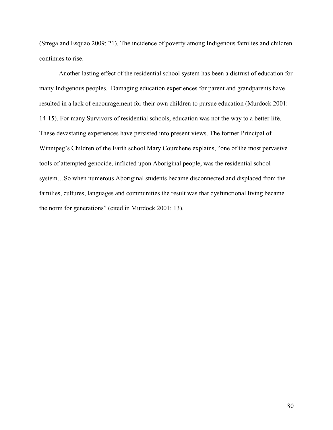(Strega and Esquao 2009: 21). The incidence of poverty among Indigenous families and children continues to rise.

Another lasting effect of the residential school system has been a distrust of education for many Indigenous peoples. Damaging education experiences for parent and grandparents have resulted in a lack of encouragement for their own children to pursue education (Murdock 2001: 14-15). For many Survivors of residential schools, education was not the way to a better life. These devastating experiences have persisted into present views. The former Principal of Winnipeg's Children of the Earth school Mary Courchene explains, "one of the most pervasive tools of attempted genocide, inflicted upon Aboriginal people, was the residential school system…So when numerous Aboriginal students became disconnected and displaced from the families, cultures, languages and communities the result was that dysfunctional living became the norm for generations" (cited in Murdock 2001: 13).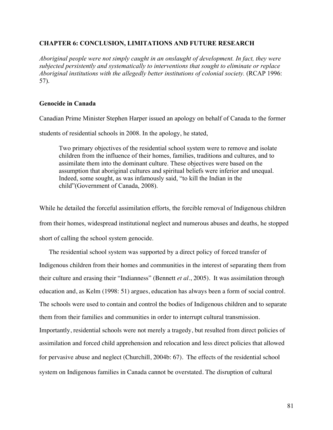# **CHAPTER 6: CONCLUSION, LIMITATIONS AND FUTURE RESEARCH**

*Aboriginal people were not simply caught in an onslaught of development. In fact, they were subjected persistently and systematically to interventions that sought to eliminate or replace Aboriginal institutions with the allegedly better institutions of colonial society.* (RCAP 1996: 57).

## **Genocide in Canada**

Canadian Prime Minister Stephen Harper issued an apology on behalf of Canada to the former

students of residential schools in 2008. In the apology, he stated,

Two primary objectives of the residential school system were to remove and isolate children from the influence of their homes, families, traditions and cultures, and to assimilate them into the dominant culture. These objectives were based on the assumption that aboriginal cultures and spiritual beliefs were inferior and unequal. Indeed, some sought, as was infamously said, "to kill the Indian in the child"(Government of Canada, 2008).

While he detailed the forceful assimilation efforts, the forcible removal of Indigenous children from their homes, widespread institutional neglect and numerous abuses and deaths, he stopped short of calling the school system genocide.

The residential school system was supported by a direct policy of forced transfer of Indigenous children from their homes and communities in the interest of separating them from their culture and erasing their "Indianness" (Bennett *et al*., 2005). It was assimilation through education and, as Kelm (1998: 51) argues, education has always been a form of social control. The schools were used to contain and control the bodies of Indigenous children and to separate them from their families and communities in order to interrupt cultural transmission. Importantly, residential schools were not merely a tragedy, but resulted from direct policies of assimilation and forced child apprehension and relocation and less direct policies that allowed for pervasive abuse and neglect (Churchill, 2004b: 67). The effects of the residential school system on Indigenous families in Canada cannot be overstated. The disruption of cultural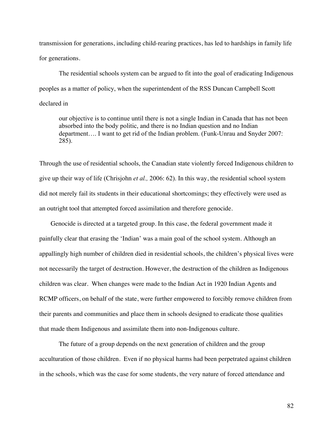transmission for generations, including child-rearing practices, has led to hardships in family life for generations.

The residential schools system can be argued to fit into the goal of eradicating Indigenous peoples as a matter of policy, when the superintendent of the RSS Duncan Campbell Scott declared in

our objective is to continue until there is not a single Indian in Canada that has not been absorbed into the body politic, and there is no Indian question and no Indian department…. I want to get rid of the Indian problem. (Funk-Unrau and Snyder 2007: 285).

Through the use of residential schools, the Canadian state violently forced Indigenous children to give up their way of life (Chrisjohn *et al.,* 2006: 62). In this way, the residential school system did not merely fail its students in their educational shortcomings; they effectively were used as an outright tool that attempted forced assimilation and therefore genocide.

Genocide is directed at a targeted group. In this case, the federal government made it painfully clear that erasing the 'Indian' was a main goal of the school system. Although an appallingly high number of children died in residential schools, the children's physical lives were not necessarily the target of destruction. However, the destruction of the children as Indigenous children was clear. When changes were made to the Indian Act in 1920 Indian Agents and RCMP officers, on behalf of the state, were further empowered to forcibly remove children from their parents and communities and place them in schools designed to eradicate those qualities that made them Indigenous and assimilate them into non-Indigenous culture.

The future of a group depends on the next generation of children and the group acculturation of those children. Even if no physical harms had been perpetrated against children in the schools, which was the case for some students, the very nature of forced attendance and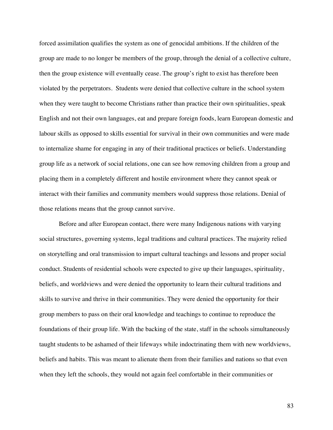forced assimilation qualifies the system as one of genocidal ambitions. If the children of the group are made to no longer be members of the group, through the denial of a collective culture, then the group existence will eventually cease. The group's right to exist has therefore been violated by the perpetrators. Students were denied that collective culture in the school system when they were taught to become Christians rather than practice their own spiritualities, speak English and not their own languages, eat and prepare foreign foods, learn European domestic and labour skills as opposed to skills essential for survival in their own communities and were made to internalize shame for engaging in any of their traditional practices or beliefs. Understanding group life as a network of social relations, one can see how removing children from a group and placing them in a completely different and hostile environment where they cannot speak or interact with their families and community members would suppress those relations. Denial of those relations means that the group cannot survive.

Before and after European contact, there were many Indigenous nations with varying social structures, governing systems, legal traditions and cultural practices. The majority relied on storytelling and oral transmission to impart cultural teachings and lessons and proper social conduct. Students of residential schools were expected to give up their languages, spirituality, beliefs, and worldviews and were denied the opportunity to learn their cultural traditions and skills to survive and thrive in their communities. They were denied the opportunity for their group members to pass on their oral knowledge and teachings to continue to reproduce the foundations of their group life. With the backing of the state, staff in the schools simultaneously taught students to be ashamed of their lifeways while indoctrinating them with new worldviews, beliefs and habits. This was meant to alienate them from their families and nations so that even when they left the schools, they would not again feel comfortable in their communities or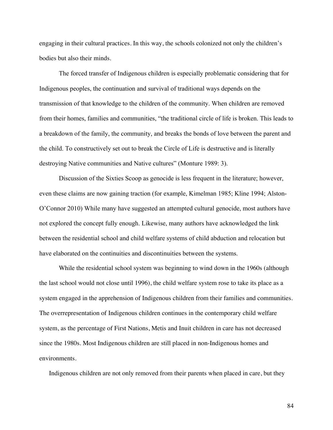engaging in their cultural practices. In this way, the schools colonized not only the children's bodies but also their minds.

The forced transfer of Indigenous children is especially problematic considering that for Indigenous peoples, the continuation and survival of traditional ways depends on the transmission of that knowledge to the children of the community. When children are removed from their homes, families and communities, "the traditional circle of life is broken. This leads to a breakdown of the family, the community, and breaks the bonds of love between the parent and the child. To constructively set out to break the Circle of Life is destructive and is literally destroying Native communities and Native cultures" (Monture 1989: 3).

Discussion of the Sixties Scoop as genocide is less frequent in the literature; however, even these claims are now gaining traction (for example, Kimelman 1985; Kline 1994; Alston-O'Connor 2010) While many have suggested an attempted cultural genocide, most authors have not explored the concept fully enough. Likewise, many authors have acknowledged the link between the residential school and child welfare systems of child abduction and relocation but have elaborated on the continuities and discontinuities between the systems.

While the residential school system was beginning to wind down in the 1960s (although the last school would not close until 1996), the child welfare system rose to take its place as a system engaged in the apprehension of Indigenous children from their families and communities. The overrepresentation of Indigenous children continues in the contemporary child welfare system, as the percentage of First Nations, Metis and Inuit children in care has not decreased since the 1980s. Most Indigenous children are still placed in non-Indigenous homes and environments.

Indigenous children are not only removed from their parents when placed in care, but they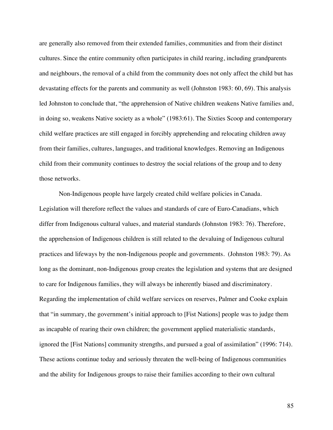are generally also removed from their extended families, communities and from their distinct cultures. Since the entire community often participates in child rearing, including grandparents and neighbours, the removal of a child from the community does not only affect the child but has devastating effects for the parents and community as well (Johnston 1983: 60, 69). This analysis led Johnston to conclude that, "the apprehension of Native children weakens Native families and, in doing so, weakens Native society as a whole" (1983:61). The Sixties Scoop and contemporary child welfare practices are still engaged in forcibly apprehending and relocating children away from their families, cultures, languages, and traditional knowledges. Removing an Indigenous child from their community continues to destroy the social relations of the group and to deny those networks.

Non-Indigenous people have largely created child welfare policies in Canada. Legislation will therefore reflect the values and standards of care of Euro-Canadians, which differ from Indigenous cultural values, and material standards (Johnston 1983: 76). Therefore, the apprehension of Indigenous children is still related to the devaluing of Indigenous cultural practices and lifeways by the non-Indigenous people and governments. (Johnston 1983: 79). As long as the dominant, non-Indigenous group creates the legislation and systems that are designed to care for Indigenous families, they will always be inherently biased and discriminatory. Regarding the implementation of child welfare services on reserves, Palmer and Cooke explain that "in summary, the government's initial approach to [Fist Nations] people was to judge them as incapable of rearing their own children; the government applied materialistic standards, ignored the [Fist Nations] community strengths, and pursued a goal of assimilation" (1996: 714). These actions continue today and seriously threaten the well-being of Indigenous communities and the ability for Indigenous groups to raise their families according to their own cultural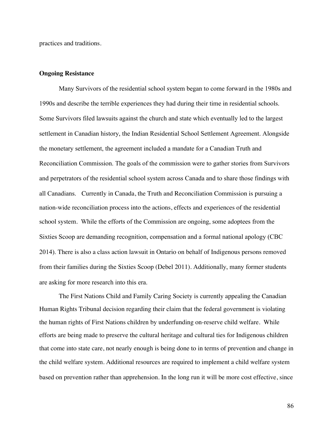practices and traditions.

#### **Ongoing Resistance**

Many Survivors of the residential school system began to come forward in the 1980s and 1990s and describe the terrible experiences they had during their time in residential schools. Some Survivors filed lawsuits against the church and state which eventually led to the largest settlement in Canadian history, the Indian Residential School Settlement Agreement. Alongside the monetary settlement, the agreement included a mandate for a Canadian Truth and Reconciliation Commission. The goals of the commission were to gather stories from Survivors and perpetrators of the residential school system across Canada and to share those findings with all Canadians. Currently in Canada, the Truth and Reconciliation Commission is pursuing a nation-wide reconciliation process into the actions, effects and experiences of the residential school system. While the efforts of the Commission are ongoing, some adoptees from the Sixties Scoop are demanding recognition, compensation and a formal national apology (CBC 2014). There is also a class action lawsuit in Ontario on behalf of Indigenous persons removed from their families during the Sixties Scoop (Debel 2011). Additionally, many former students are asking for more research into this era.

The First Nations Child and Family Caring Society is currently appealing the Canadian Human Rights Tribunal decision regarding their claim that the federal government is violating the human rights of First Nations children by underfunding on-reserve child welfare. While efforts are being made to preserve the cultural heritage and cultural ties for Indigenous children that come into state care, not nearly enough is being done to in terms of prevention and change in the child welfare system. Additional resources are required to implement a child welfare system based on prevention rather than apprehension. In the long run it will be more cost effective, since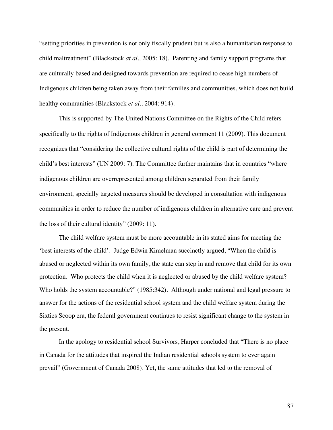"setting priorities in prevention is not only fiscally prudent but is also a humanitarian response to child maltreatment" (Blackstock *at al.,* 2005: 18). Parenting and family support programs that are culturally based and designed towards prevention are required to cease high numbers of Indigenous children being taken away from their families and communities, which does not build healthy communities (Blackstock *et al.,* 2004: 914).

This is supported by The United Nations Committee on the Rights of the Child refers specifically to the rights of Indigenous children in general comment 11 (2009). This document recognizes that "considering the collective cultural rights of the child is part of determining the child's best interests" (UN 2009: 7). The Committee further maintains that in countries "where indigenous children are overrepresented among children separated from their family environment, specially targeted measures should be developed in consultation with indigenous communities in order to reduce the number of indigenous children in alternative care and prevent the loss of their cultural identity" (2009: 11).

The child welfare system must be more accountable in its stated aims for meeting the 'best interests of the child'. Judge Edwin Kimelman succinctly argued, "When the child is abused or neglected within its own family, the state can step in and remove that child for its own protection. Who protects the child when it is neglected or abused by the child welfare system? Who holds the system accountable?" (1985:342). Although under national and legal pressure to answer for the actions of the residential school system and the child welfare system during the Sixties Scoop era, the federal government continues to resist significant change to the system in the present.

In the apology to residential school Survivors, Harper concluded that "There is no place in Canada for the attitudes that inspired the Indian residential schools system to ever again prevail" (Government of Canada 2008). Yet, the same attitudes that led to the removal of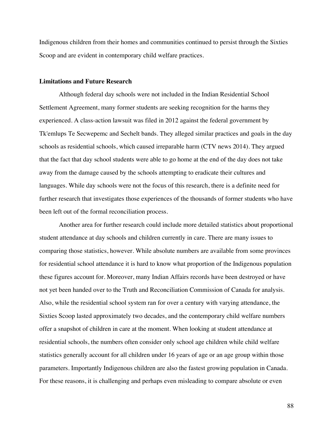Indigenous children from their homes and communities continued to persist through the Sixties Scoop and are evident in contemporary child welfare practices.

### **Limitations and Future Research**

Although federal day schools were not included in the Indian Residential School Settlement Agreement, many former students are seeking recognition for the harms they experienced. A class-action lawsuit was filed in 2012 against the federal government by Tk'emlups Te Secwepemc and Sechelt bands. They alleged similar practices and goals in the day schools as residential schools, which caused irreparable harm (CTV news 2014). They argued that the fact that day school students were able to go home at the end of the day does not take away from the damage caused by the schools attempting to eradicate their cultures and languages. While day schools were not the focus of this research, there is a definite need for further research that investigates those experiences of the thousands of former students who have been left out of the formal reconciliation process.

Another area for further research could include more detailed statistics about proportional student attendance at day schools and children currently in care. There are many issues to comparing those statistics, however. While absolute numbers are available from some provinces for residential school attendance it is hard to know what proportion of the Indigenous population these figures account for. Moreover, many Indian Affairs records have been destroyed or have not yet been handed over to the Truth and Reconciliation Commission of Canada for analysis. Also, while the residential school system ran for over a century with varying attendance, the Sixties Scoop lasted approximately two decades, and the contemporary child welfare numbers offer a snapshot of children in care at the moment. When looking at student attendance at residential schools, the numbers often consider only school age children while child welfare statistics generally account for all children under 16 years of age or an age group within those parameters. Importantly Indigenous children are also the fastest growing population in Canada. For these reasons, it is challenging and perhaps even misleading to compare absolute or even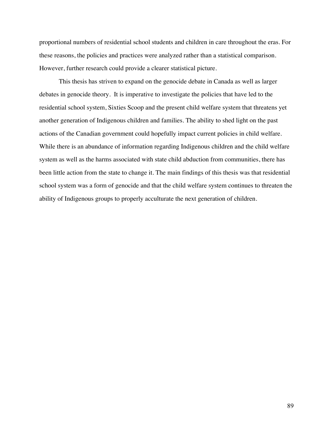proportional numbers of residential school students and children in care throughout the eras. For these reasons, the policies and practices were analyzed rather than a statistical comparison. However, further research could provide a clearer statistical picture.

This thesis has striven to expand on the genocide debate in Canada as well as larger debates in genocide theory. It is imperative to investigate the policies that have led to the residential school system, Sixties Scoop and the present child welfare system that threatens yet another generation of Indigenous children and families. The ability to shed light on the past actions of the Canadian government could hopefully impact current policies in child welfare. While there is an abundance of information regarding Indigenous children and the child welfare system as well as the harms associated with state child abduction from communities, there has been little action from the state to change it. The main findings of this thesis was that residential school system was a form of genocide and that the child welfare system continues to threaten the ability of Indigenous groups to properly acculturate the next generation of children.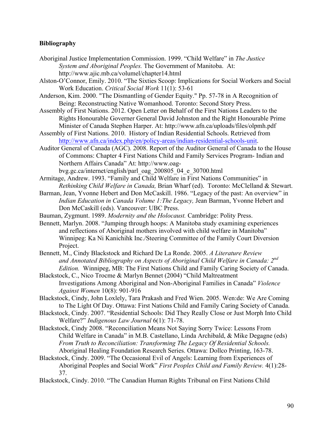## **Bibliography**

- Aboriginal Justice Implementation Commission. 1999. "Child Welfare" in *The Justice System and Aboriginal Peoples.* The Government of Manitoba. At: http://www.ajic.mb.ca/volumel/chapter14.html
- Alston-O'Connor, Emily. 2010. "The Sixties Scoop: Implications for Social Workers and Social Work Education. *Critical Social Work* 11(1): 53-61
- Anderson, Kim. 2000. "The Dismantling of Gender Equity." Pp. 57-78 in A Recognition of Being: Reconstructing Native Womanhood. Toronto: Second Story Press.
- Assembly of First Nations. 2012. Open Letter on Behalf of the First Nations Leaders to the Rights Honourable Governer General David Johnston and the Right Honourable Prime Minister of Canada Stephen Harper. At: http://www.afn.ca/uploads/files/olpmh.pdf
- Assembly of First Nations. 2010. History of Indian Residential Schools. Retrieved from http://www.afn.ca/index.php/en/policy-areas/indian-residential-schools-unit.
- Auditor General of Canada (AGC). 2008. Report of the Auditor General of Canada to the House of Commons: Chapter 4 First Nations Child and Family Services Program- Indian and Northern Affairs Canada" At: http://www.oag-

bvg.gc.ca/internet/english/parl\_oag\_200805\_04\_e\_30700.html

- Armitage, Andrew. 1993. "Family and Child Welfare in First Nations Communities" in *Rethinking Child Welfare in Canada,* Brian Wharf (ed). Toronto: McClelland & Stewart.
- Barman, Jean, Yvonne Hebert and Don McCaskill. 1986. "Legacy of the past: An overview" in *Indian Education in Canada Volume 1:The Legacy,* Jean Barman, Yvonne Hebert and Don McCaskill (eds). Vancouver: UBC Press.
- Bauman, Zygmunt. 1989. *Modernity and the Holocaust.* Cambridge: Polity Press.
- Bennett, Marlyn. 2008. "Jumping through hoops: A Manitoba study examining experiences and reflections of Aboriginal mothers involved with child welfare in Manitoba" Winnipeg: Ka Ni Kanichihk Inc./Steering Committee of the Family Court Diversion Project.
- Bennett, M., Cindy Blackstock and Richard De La Ronde. 2005. *A Literature Review and Annotated Bibliography on Aspects of Aboriginal Child Welfare in Canada: 2nd Edition.* Winnipeg, MB: The First Nations Child and Family Caring Society of Canada.
- Blackstock, C., Nico Trocme & Marlyn Bennet (2004) "Child Maltreatment Investigations Among Aboriginal and Non-Aboriginal Families in Canada" *Violence Against Women* 10(8): 901-916
- Blackstock, Cindy, John Loxlely, Tara Prakash and Fred Wien. 2005. Wen:de: We Are Coming to The Light Of Day. Ottawa: First Nations Child and Family Caring Society of Canada.
- Blackstock, Cindy. 2007. "Residential Schools: Did They Really Close or Just Morph Into Child Welfare?" *Indigenous Law Journal* 6(1): 71-78.
- Blackstock, Cindy 2008. "Reconciliation Means Not Saying Sorry Twice: Lessons From Child Welfare in Canada" in M.B. Castellano, Linda Archibald, & Mike Degagne (eds) *From Truth to Reconciliation: Transforming The Legacy Of Residential Schools.*  Aboriginal Healing Foundation Research Series. Ottawa: Dollco Printing, 163-78.
- Blackstock, Cindy. 2009. "The Occasional Evil of Angels: Learning from Experiences of Aboriginal Peoples and Social Work" *First Peoples Child and Family Review.* 4(1):28- 37.
- Blackstock, Cindy. 2010. "The Canadian Human Rights Tribunal on First Nations Child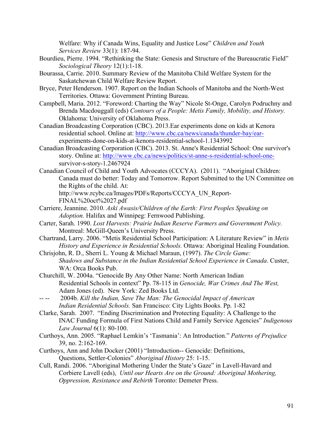Welfare: Why if Canada Wins, Equality and Justice Lose" *Children and Youth Services Review* 33(1): 187-94.

- Bourdieu, Pierre. 1994. "Rethinking the State: Genesis and Structure of the Bureaucratic Field" *Sociological Theory* 12(1):1-18.
- Bourassa, Carrie. 2010. Summary Review of the Manitoba Child Welfare System for the Saskatchewan Child Welfare Review Report.
- Bryce, Peter Henderson. 1907. Report on the Indian Schools of Manitoba and the North-West Territories. Ottawa: Government Printing Bureau.
- Campbell, Maria. 2012. "Foreword: Charting the Way" Nicole St-Onge, Carolyn Podruchny and Brenda Macdouggall (eds) *Contours of a People: Metis Family, Mobility, and History.* Oklahoma: University of Oklahoma Press.
- Canadian Broadcasting Corporation (CBC). 2013.Ear experiments done on kids at Kenora residential school. Online at: http://www.cbc.ca/news/canada/thunder-bay/earexperiments-done-on-kids-at-kenora-residential-school-1.1343992
- Canadian Broadcasting Corporation (CBC). 2013. St. Anne's Residential School: One survivor's story. Online at: http://www.cbc.ca/news/politics/st-anne-s-residential-school-onesurvivor-s-story-1.2467924
- Canadian Council of Child and Youth Advocates (CCCYA). (2011). "Aboriginal Children: Canada must do better: Today and Tomorrow. Report Submitted to the UN Committee on the Rights of the child. At: http://www.rcybc.ca/Images/PDFs/Reports/CCCYA\_UN\_Report-

FINAL%20oct%2027.pdf

- Carriere, Jeannine. 2010. *Aski Awasis/Children of the Earth: First Peoples Speaking on Adoption.* Halifax and Winnipeg: Fernwood Publishing.
- Carter, Sarah. 1990. *Lost Harvests: Prairie Indian Reserve Farmers and Government Policy.*  Montreal: McGill-Queen's University Press.
- Chartrand, Larry. 2006. "Metis Residential School Participation: A Literature Review" in *Metis History and Experience in Residential Schools.* Ottawa: Aboriginal Healing Foundation.
- Chrisjohn, R. D., Sherri L. Young & Michael Maraun, (1997). *The Circle Game: Shadows and Substance in the Indian Residential School Experience in Canada*. Custer, WA: Orca Books Pub.
- Churchill, W. 2004a. "Genocide By Any Other Name: North American Indian Residential Schools in context" Pp. 78-115 in *Genocide, War Crimes And The West,*  Adam Jones (ed). New York: Zed Books Ltd.
- 2004b. *Kill the Indian, Save The Man: The Genocidal Impact of American Indian Residential Schools.* San Francisco: City Lights Books. Pp. 1-82
- Clarke, Sarah. 2007. "Ending Discrimination and Protecting Equality: A Challenge to the INAC Funding Formula of First Nations Child and Family Service Agencies" *Indigenous Law Journal* 6(1): 80-100.
- Curthoys, Ann. 2005. "Raphael Lemkin's 'Tasmania': An Introduction." *Patterns of Prejudice* 39, no. 2:162-169.
- Curthoys, Ann and John Docker (2001) "Introduction-- Genocide: Definitions, Questions, Settler-Colonies" *Aboriginal History* 25: 1-15.
- Cull, Randi. 2006. "Aboriginal Mothering Under the State's Gaze" in Lavell-Havard and Corbiere Lavell (eds), *Until our Hearts Are on the Ground: Aboriginal Mothering, Oppression, Resistance and Rebirth* Toronto: Demeter Press.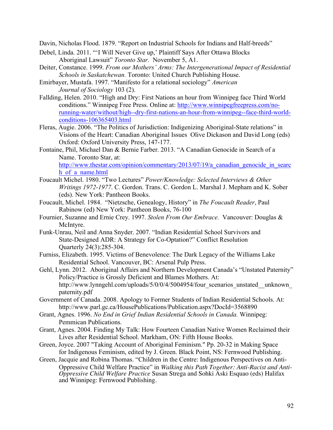Davin, Nicholas Flood. 1879. "Report on Industrial Schools for Indians and Half-breeds"

- Debel, Linda. 2011. "'I Will Never Give up,' Plaintiff Says After Ottawa Blocks Aboriginal Lawsuit" *Toronto Star.* November 5, A1.
- Deiter, Constance. 1999. *From our Mothers' Arms: The Intergenerational Impact of Residential Schools in Saskatchewan.* Toronto: United Church Publishing House.
- Emirbayer, Mustafa. 1997. "Manifesto for a relational sociology" *American Journal of Sociology* 103 (2).
- Fallding, Helen. 2010. "High and Dry: First Nations an hour from Winnipeg face Third World conditions." Winnipeg Free Press. Online at: http://www.winnipegfreepress.com/norunning-water/without/high--dry-first-nations-an-hour-from-winnipeg--face-third-worldconditions-106365403.html
- Fleras, Augie. 2006. "The Politics of Jurisdiction: Indigenizing Aboriginal-State relations" in Visions of the Heart: Canadian Aboriginal Issues Olive Dickason and David Long (eds) Oxford: Oxford University Press, 147-177.
- Fontaine, Phil, Michael Dan & Bernie Farber. 2013. "A Canadian Genocide in Search of a Name. Toronto Star, at: http://www.thestar.com/opinion/commentary/2013/07/19/a canadian genocide in searc h\_of\_a\_name.html
- Foucault Michel. 1980. "Two Lectures" *Power/Knowledge: Selected Interviews & Other Writings 1972-1977*. C. Gordon. Trans. C. Gordon L. Marshal J. Mepham and K. Sober (eds). New York: Pantheon Books.
- Foucault, Michel. 1984. "Nietzsche, Genealogy, History" in *The Foucault Reader*, Paul Rabinow (ed) New York: Pantheon Books, 76-100
- Fournier, Suzanne and Ernie Crey. 1997. *Stolen From Our Embrace.* Vancouver: Douglas & McIntyre.
- Funk-Unrau, Neil and Anna Snyder. 2007. "Indian Residential School Survivors and State-Designed ADR: A Strategy for Co-Optation?" Conflict Resolution Quarterly 24(3):285-304.
- Furniss, Elizabeth. 1995. Victims of Benevolence: The Dark Legacy of the Williams Lake Residential School. Vancouver, BC: Arsenal Pulp Press.
- Gehl, Lynn. 2012. Aboriginal Affairs and Northern Development Canada's "Unstated Paternity" Policy/Practice is Grossly Deficient and Blames Mothers. At: http://www.lynngehl.com/uploads/5/0/0/4/5004954/four\_scenarios\_unstated\_\_unknown paternity.pdf
- Government of Canada. 2008. Apology to Former Students of Indian Residential Schools. At: http://www.parl.gc.ca/HousePublications/Publication.aspx?DocId=3568890
- Grant, Agnes. 1996. *No End in Grief Indian Residential Schools in Canada.* Winnipeg: Pemmican Publications.
- Grant, Agnes. 2004. Finding My Talk: How Fourteen Canadian Native Women Reclaimed their Lives after Residential School. Markham, ON: Fifth House Books.
- Green, Joyce. 2007 "Taking Account of Aboriginal Feminism." Pp. 20-32 in Making Space for Indigenous Feminism, edited by J. Green. Black Point, NS: Fernwood Publishing.
- Green, Jacquie and Robina Thomas. "Children in the Centre: Indigenous Perspectives on Anti-Oppressive Child Welfare Practice" in *Walking this Path Together: Anti-Racist and Anti-Oppressive Child Welfare Practice* Susan Strega and Sohki Aski Esquao (eds) Halifax and Winnipeg: Fernwood Publishing.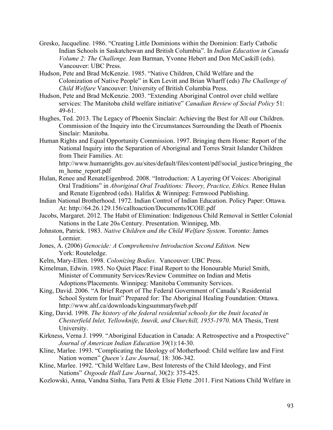- Gresko, Jacqueline. 1986. "Creating Little Dominions within the Dominion: Early Catholic Indian Schools in Saskatchewan and British Columbia". In *Indian Education in Canada Volume 2: The Challenge.* Jean Barman, Yvonne Hebert and Don McCaskill (eds). Vancouver: UBC Press.
- Hudson, Pete and Brad McKenzie. 1985. "Native Children, Child Welfare and the Colonization of Native People" in Ken Levitt and Brian Wharff (eds) *The Challenge of Child Welfare* Vancouver: University of British Columbia Press.
- Hudson, Pete and Brad McKenzie. 2003. "Extending Aboriginal Control over child welfare services: The Manitoba child welfare initiative" *Canadian Review of Social Policy* 51: 49-61.
- Hughes, Ted. 2013. The Legacy of Phoenix Sinclair: Achieving the Best for All our Children. Commission of the Inquiry into the Circumstances Surrounding the Death of Phoenix Sinclair: Manitoba.
- Human Rights and Equal Opportunity Commission. 1997. Bringing them Home: Report of the National Inquiry into the Separation of Aboriginal and Torres Strait Islander Children from Their Families. At:

http://www.humanrights.gov.au/sites/default/files/content/pdf/social\_justice/bringing\_the m home report.pdf

- Hulan, Renee and RenateEigenbrod. 2008. "Introduction: A Layering Of Voices: Aboriginal Oral Traditions" in *Aboriginal Oral Traditions: Theory, Practice, Ethics.* Renee Hulan and Renate Eigenbrod (eds). Halifax & Winnipeg: Fernwood Publishing.
- Indian National Brotherhood. 1972. Indian Control of Indian Education. Policy Paper: Ottawa. At: http://64.26.129.156/calltoaction/Documents/ICOIE.pdf
- Jacobs, Margaret. 2012. The Habit of Elimination: Indigenous Child Removal in Settler Colonial Nations in the Late 20th Century. Presentation. Winnipeg, Mb.
- Johnston, Patrick. 1983. *Native Children and the Child Welfare System*. Toronto: James Lormier.
- Jones, A. (2006) *Genocide: A Comprehensive Introduction Second Edition.* New York: Routeledge.
- Kelm, Mary-Ellen. 1998. *Colonizing Bodies.* Vancouver: UBC Press.
- Kimelman, Edwin. 1985. No Quiet Place: Final Report to the Honourable Muriel Smith, Minister of Community Services/Review Committee on Indian and Metis Adoptions/Placements. Winnipeg: Manitoba Community Services.
- King, David. 2006. "A Brief Report of The Federal Government of Canada's Residential School System for Inuit" Prepared for: The Aboriginal Healing Foundation: Ottawa. http://www.ahf.ca/downloads/kingsummaryfweb.pdf
- King, David. 1998. *The history of the federal residential schools for the Inuit located in Chesterfield Inlet, Yellowknife, Inuvik, and Churchill, 1955-1970.* MA Thesis, Trent University.
- Kirkness, Verna J. 1999. "Aboriginal Education in Canada: A Retrospective and a Prospective" *Journal of American Indian Education* 39(1):14-30.
- Kline, Marlee. 1993. "Complicating the Ideology of Motherhood: Child welfare law and First Nation women" *Queen's Law Journal,* 18: 306-342.
- Kline, Marlee. 1992. "Child Welfare Law, Best Interests of the Child Ideology, and First Nations" *Osgoode Hall Law Journal*, 30(2): 375-425.
- Kozlowski, Anna, Vandna Sinha, Tara Petti & Elsie Flette .2011. First Nations Child Welfare in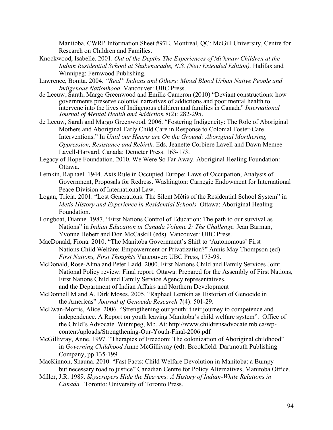Manitoba. CWRP Information Sheet #97E. Montreal, QC: McGill University, Centre for Research on Children and Families.

- Knockwood, Isabelle. 2001. *Out of the Depths The Experiences of Mi'kmaw Children at the Indian Residential School at Shubenacadie, N.S. (New Extended Edition).* Halifax and Winnipeg: Fernwood Publishing.
- Lawrence, Bonita. 2004. *"Real" Indians and Others: Mixed Blood Urban Native People and Indigenous Nationhood.* Vancouver: UBC Press.
- de Leeuw, Sarah, Margo Greenwood and Emilie Cameron (2010) "Deviant constructions: how governments preserve colonial narratives of addictions and poor mental health to intervene into the lives of Indigenous children and families in Canada" *International Journal of Mental Health and Addiction* 8(2): 282-295.
- de Leeuw, Sarah and Margo Greenwood. 2006. "Fostering Indigeneity: The Role of Aboriginal Mothers and Aboriginal Early Child Care in Response to Colonial Foster-Care Interventions." In *Until our Hearts are On the Ground: Aboriginal Morthering, Oppression, Resistance and Rebirth.* Eds. Jeanette Corbiere Lavell and Dawn Memee Lavell-Harvard. Canada: Demeter Press. 163-173.
- Legacy of Hope Foundation. 2010. We Were So Far Away. Aboriginal Healing Foundation: Ottawa.
- Lemkin, Raphael. 1944. Axis Rule in Occupied Europe: Laws of Occupation, Analysis of Government, Proposals for Redress. Washington: Carnegie Endowment for International Peace Division of International Law.
- Logan, Tricia. 2001. "Lost Generations: The Silent Métis of the Residential School System" in *Metis History and Experience in Residential Schools.* Ottawa: Aboriginal Healing Foundation.
- Longboat, Dianne. 1987. "First Nations Control of Education: The path to our survival as Nations" in *Indian Education in Canada Volume 2: The Challenge.* Jean Barman, Yvonne Hebert and Don McCaskill (eds). Vancouver: UBC Press.
- MacDonald, Fiona. 2010. "The Manitoba Government's Shift to 'Autonomous' First Nations Child Welfare: Empowerment or Privatization?" Annis May Thompson (ed) *First Nations, First Thoughts* Vancouver: UBC Press, 173-98.
- McDonald, Rose-Alma and Peter Ladd. 2000. First Nations Child and Family Services Joint National Policy review: Final report. Ottawa: Prepared for the Assembly of First Nations, First Nations Child and Family Service Agency representatives, and the Department of Indian Affairs and Northern Development
- McDonnell M and A. Dirk Moses. 2005. "Raphael Lemkin as Historian of Genocide in the Americas" *Journal of Genocide Research* 7(4): 501-29.
- McEwan-Morris, Alice. 2006. "Strengthening our youth: their journey to competence and independence. A Report on youth leaving Manitoba's child welfare system". Office of the Child's Advocate. Winnipeg, Mb. At: http://www.childrensadvocate.mb.ca/wpcontent/uploads/Strengthening-Our-Youth-Final-2006.pdf
- McGillivray, Anne. 1997. "Therapies of Freedom: The colonization of Aboriginal childhood" in *Governing Childhood* Anne McGillivray (ed). Brookfield: Dartmouth Publishing Company, pp 135-199.
- MacKinnon, Shauna. 2010. "Fast Facts: Child Welfare Devolution in Manitoba: a Bumpy but necessary road to justice" Canadian Centre for Policy Alternatives, Manitoba Office.
- Miller, J.R. 1989. *Skyscrapers Hide the Heavens: A History of Indian-White Relations in Canada.* Toronto: University of Toronto Press.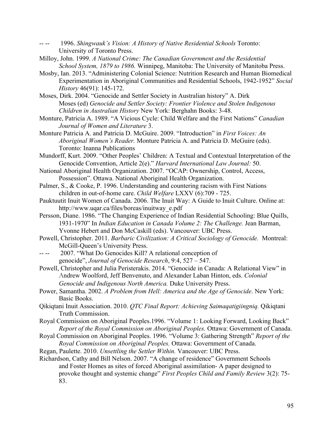- -- -- 1996. *Shingwauk's Vision: A History of Native Residential Schools* Toronto: University of Toronto Press.
- Milloy, John. 1999. *A National Crime: The Canadian Government and the Residential School System, 1879 to 1986.* Winnipeg, Manitoba: The University of Manitoba Press.
- Mosby, Ian. 2013. "Administering Colonial Science: Nutrition Research and Human Biomedical Experimentation in Aboriginal Communities and Residential Schools, 1942-1952" *Social History* 46(91): 145-172.
- Moses, Dirk. 2004. "Genocide and Settler Society in Australian history" A. Dirk Moses (ed) *Genocide and Settler Society: Frontier Violence and Stolen Indigenous Children in Australian History* New York: Berghahn Books: 3-48.
- Monture, Patricia A. 1989. "A Vicious Cycle: Child Welfare and the First Nations" *Canadian Journal of Women and Literature* 3.
- Monture Patricia A. and Patricia D. McGuire. 2009. "Introduction" in *First Voices: An Aboriginal Women's Reader.* Monture Patricia A. and Patricia D. McGuire (eds). Toronto: Inanna Publications
- Mundorff, Kurt. 2009. "Other Peoples' Children: A Textual and Contextual Interpretation of the Genocide Convention, Article 2(e)." *Harvard International Law Journal:* 50.
- National Aboriginal Health Organization. 2007. "OCAP: Ownership, Control, Access, Possession". Ottawa. National Aboriginal Health Organization.
- Palmer, S., & Cooke, P. 1996. Understanding and countering racism with First Nations children in out-of-home care. *Child Welfare* LXXV (6):709 - 725.
- Pauktuutit Inuit Women of Canada. 2006. The Inuit Way: A Guide to Inuit Culture. Online at: http://www.uqar.ca/files/boreas/inuitway\_e.pdf
- Persson, Diane. 1986. "The Changing Experience of Indian Residential Schooling: Blue Quills, 1931-1970" In *Indian Education in Canada Volume 2: The Challenge.* Jean Barman, Yvonne Hebert and Don McCaskill (eds). Vancouver: UBC Press.
- Powell, Christopher. 2011. *Barbaric Civilization: A Critical Sociology of Genocide.* Montreal: McGill-Queen's University Press.
- -- -- 2007. "What Do Genocides Kill? A relational conception of genocide", *Journal of Genocide Research*, 9:4, 527 – 547.
- Powell, Christopher and Julia Peristerakis. 2014. "Genocide in Canada: A Relational View" in Andrew Woolford, Jeff Benvenuto, and Alexander Laban Hinton, eds. *Colonial Genocide and Indigenous North America.* Duke University Press.
- Power, Samantha. 2002. *A Problem from Hell: America and the Age of Genocide*. New York: Basic Books.
- Qikiqtani Inuit Association. 2010. *QTC Final Report: Achieving Saimaqatigiingniq.* Qikiqtani Truth Commission.
- Royal Commission on Aboriginal Peoples.1996. "Volume 1: Looking Forward, Looking Back" *Report of the Royal Commission on Aboriginal Peoples.* Ottawa: Government of Canada.
- Royal Commission on Aboriginal Peoples. 1996. "Volume 3: Gathering Strength" *Report of the Royal Commission on Aboriginal Peoples.* Ottawa: Government of Canada.
- Regan, Paulette. 2010. *Unsettling the Settler Within.* Vancouver: UBC Press.
- Richardson, Cathy and Bill Nelson. 2007. "A change of residence" Government Schools and Foster Homes as sites of forced Aboriginal assimilation- A paper designed to provoke thought and systemic change" *First Peoples Child and Family Review* 3(2): 75- 83.